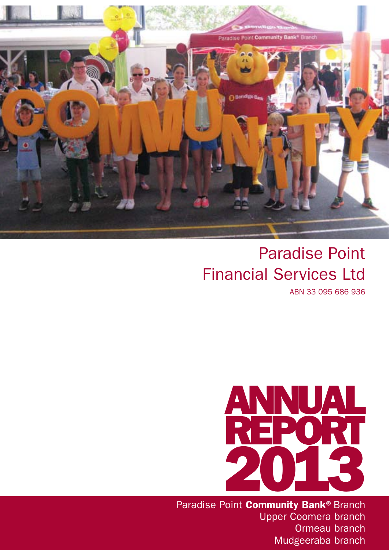

# Paradise Point Financial Services Ltd

ABN 33 095 686 936



Paradise Point **Community Bank® Branch** Upper Coomera branch Ormeau branch Mudgeeraba branch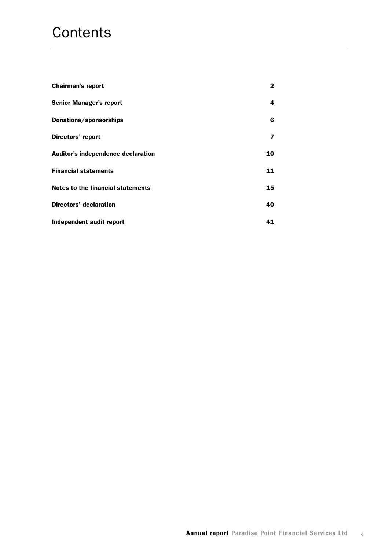## **Contents**

| <b>Chairman's report</b>           | 2  |
|------------------------------------|----|
| <b>Senior Manager's report</b>     | 4  |
| Donations/sponsorships             | 6  |
| Directors' report                  | 7  |
| Auditor's independence declaration | 10 |
| <b>Financial statements</b>        | 11 |
| Notes to the financial statements  | 15 |
| Directors' declaration             | 40 |
| Independent audit report           | 41 |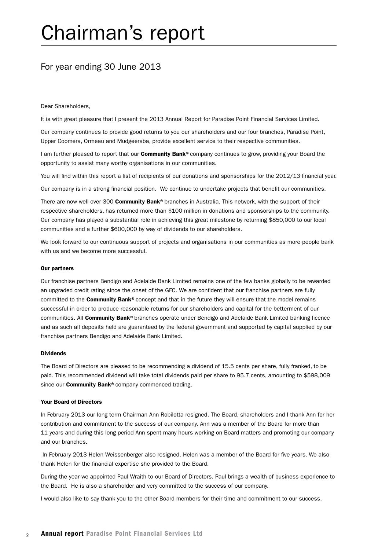# Chairman's report

## For year ending 30 June 2013

Dear Shareholders,

It is with great pleasure that I present the 2013 Annual Report for Paradise Point Financial Services Limited.

Our company continues to provide good returns to you our shareholders and our four branches, Paradise Point, Upper Coomera, Ormeau and Mudgeeraba, provide excellent service to their respective communities.

I am further pleased to report that our **Community Bank®** company continues to grow, providing your Board the opportunity to assist many worthy organisations in our communities.

You will find within this report a list of recipients of our donations and sponsorships for the 2012/13 financial year.

Our company is in a strong financial position. We continue to undertake projects that benefit our communities.

There are now well over 300 Community Bank® branches in Australia. This network, with the support of their respective shareholders, has returned more than \$100 million in donations and sponsorships to the community. Our company has played a substantial role in achieving this great milestone by returning \$850,000 to our local communities and a further \$600,000 by way of dividends to our shareholders.

We look forward to our continuous support of projects and organisations in our communities as more people bank with us and we become more successful.

#### Our partners

Our franchise partners Bendigo and Adelaide Bank Limited remains one of the few banks globally to be rewarded an upgraded credit rating since the onset of the GFC. We are confident that our franchise partners are fully committed to the Community Bank® concept and that in the future they will ensure that the model remains successful in order to produce reasonable returns for our shareholders and capital for the betterment of our communities. All Community Bank® branches operate under Bendigo and Adelaide Bank Limited banking licence and as such all deposits held are guaranteed by the federal government and supported by capital supplied by our franchise partners Bendigo and Adelaide Bank Limited.

#### Dividends

The Board of Directors are pleased to be recommending a dividend of 15.5 cents per share, fully franked, to be paid. This recommended dividend will take total dividends paid per share to 95.7 cents, amounting to \$598,009 since our **Community Bank®** company commenced trading.

#### Your Board of Directors

In February 2013 our long term Chairman Ann Robilotta resigned. The Board, shareholders and I thank Ann for her contribution and commitment to the success of our company. Ann was a member of the Board for more than 11 years and during this long period Ann spent many hours working on Board matters and promoting our company and our branches.

 In February 2013 Helen Weissenberger also resigned. Helen was a member of the Board for five years. We also thank Helen for the financial expertise she provided to the Board.

During the year we appointed Paul Wraith to our Board of Directors. Paul brings a wealth of business experience to the Board. He is also a shareholder and very committed to the success of our company.

I would also like to say thank you to the other Board members for their time and commitment to our success.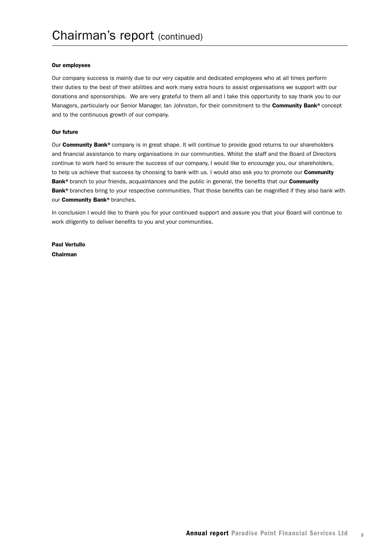#### Our employees

Our company success is mainly due to our very capable and dedicated employees who at all times perform their duties to the best of their abilities and work many extra hours to assist organisations we support with our donations and sponsorships. We are very grateful to them all and I take this opportunity to say thank you to our Managers, particularly our Senior Manager, Ian Johnston, for their commitment to the Community Bank® concept and to the continuous growth of our company.

#### Our future

Our Community Bank® company is in great shape. It will continue to provide good returns to our shareholders and financial assistance to many organisations in our communities. Whilst the staff and the Board of Directors continue to work hard to ensure the success of our company, I would like to encourage you, our shareholders, to help us achieve that success by choosing to bank with us. I would also ask you to promote our Community Bank® branch to your friends, acquaintances and the public in general, the benefits that our Community Bank<sup>®</sup> branches bring to your respective communities. That those benefits can be magnified if they also bank with our **Community Bank®** branches.

In conclusion I would like to thank you for your continued support and assure you that your Board will continue to work diligently to deliver benefits to you and your communities.

Paul Vertullo Chairman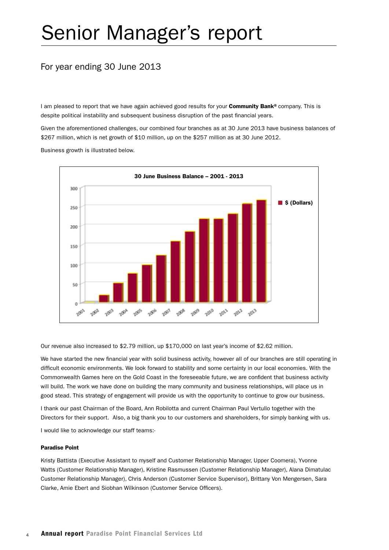# Senior Manager's report

## For year ending 30 June 2013

I am pleased to report that we have again achieved good results for your **Community Bank®** company. This is despite political instability and subsequent business disruption of the past financial years.

Given the aforementioned challenges, our combined four branches as at 30 June 2013 have business balances of \$267 million, which is net growth of \$10 million, up on the \$257 million as at 30 June 2012.

Business growth is illustrated below.



Our revenue also increased to \$2.79 million, up \$170,000 on last year's income of \$2.62 million.

We have started the new financial year with solid business activity, however all of our branches are still operating in difficult economic environments. We look forward to stability and some certainty in our local economies. With the Commonwealth Games here on the Gold Coast in the foreseeable future, we are confident that business activity will build. The work we have done on building the many community and business relationships, will place us in good stead. This strategy of engagement will provide us with the opportunity to continue to grow our business.

I thank our past Chairman of the Board, Ann Robilotta and current Chairman Paul Vertullo together with the Directors for their support. Also, a big thank you to our customers and shareholders, for simply banking with us. I would like to acknowledge our staff teams:-

#### Paradise Point

Kristy Battista (Executive Assistant to myself and Customer Relationship Manager, Upper Coomera), Yvonne Watts (Customer Relationship Manager), Kristine Rasmussen (Customer Relationship Manager), Alana Dimatulac Customer Relationship Manager), Chris Anderson (Customer Service Supervisor), Brittany Von Mengersen, Sara Clarke, Amie Ebert and Siobhan Wilkinson (Customer Service Officers).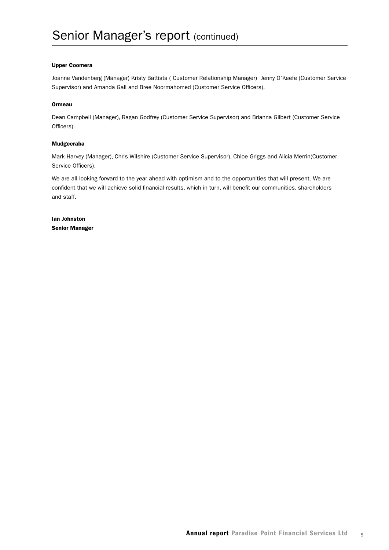#### Upper Coomera

Joanne Vandenberg (Manager) Kristy Battista ( Customer Relationship Manager) Jenny O'Keefe (Customer Service Supervisor) and Amanda Gall and Bree Noormahomed (Customer Service Officers).

#### **Ormeau**

Dean Campbell (Manager), Ragan Godfrey (Customer Service Supervisor) and Brianna Gilbert (Customer Service Officers).

#### Mudgeeraba

Mark Harvey (Manager), Chris Wilshire (Customer Service Supervisor), Chloe Griggs and Alicia Merrin(Customer Service Officers).

We are all looking forward to the year ahead with optimism and to the opportunities that will present. We are confident that we will achieve solid financial results, which in turn, will benefit our communities, shareholders and staff.

Ian Johnston Senior Manager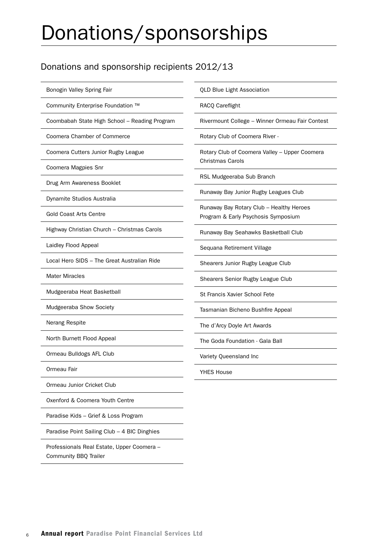# Donations/sponsorships

## Donations and sponsorship recipients 2012/13

| Bonogin Valley Spring Fair                                          | <b>QLD Blue Light Association</b>               |
|---------------------------------------------------------------------|-------------------------------------------------|
| Community Enterprise Foundation ™                                   | RACQ Careflight                                 |
| Coombabah State High School - Reading Program                       | Rivermount College - Winner Ormeau Fair Contest |
| Coomera Chamber of Commerce                                         | Rotary Club of Coomera River -                  |
| Coomera Cutters Junior Rugby League                                 | Rotary Club of Coomera Valley - Upper Coomera   |
| Coomera Magpies Snr                                                 | <b>Christmas Carols</b>                         |
| Drug Arm Awareness Booklet                                          | RSL Mudgeeraba Sub Branch                       |
| Dynamite Studios Australia                                          | Runaway Bay Junior Rugby Leagues Club           |
|                                                                     | Runaway Bay Rotary Club - Healthy Heroes        |
| <b>Gold Coast Arts Centre</b>                                       | Program & Early Psychosis Symposium             |
| Highway Christian Church - Christmas Carols                         | Runaway Bay Seahawks Basketball Club            |
| Laidley Flood Appeal                                                | Sequana Retirement Village                      |
| Local Hero SIDS - The Great Australian Ride                         | Shearers Junior Rugby League Club               |
| <b>Mater Miracles</b>                                               | Shearers Senior Rugby League Club               |
| Mudgeeraba Heat Basketball                                          | St Francis Xavier School Fete                   |
| Mudgeeraba Show Society                                             | Tasmanian Bicheno Bushfire Appeal               |
| Nerang Respite                                                      | The d'Arcy Doyle Art Awards                     |
| North Burnett Flood Appeal                                          | The Goda Foundation - Gala Ball                 |
| Ormeau Bulldogs AFL Club                                            | Variety Queensland Inc                          |
| Ormeau Fair                                                         | <b>YHES House</b>                               |
| Ormeau Junior Cricket Club                                          |                                                 |
| Oxenford & Coomera Youth Centre                                     |                                                 |
| Paradise Kids - Grief & Loss Program                                |                                                 |
| Paradise Point Sailing Club - 4 BIC Dinghies                        |                                                 |
| Professionals Real Estate, Upper Coomera -<br>Community BBQ Trailer |                                                 |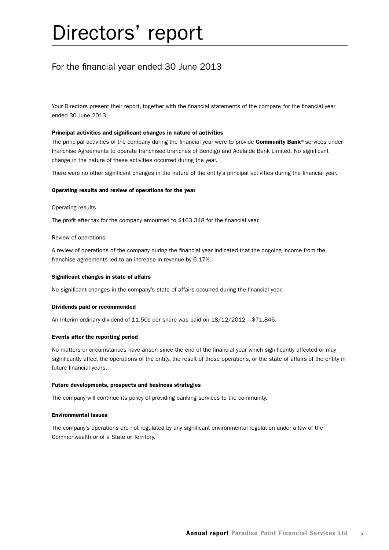# Directors' report

## For the financial year ended 30 June 2013

Your Directors present their report, together with the financial statements of the company for the financial year ended 30 June 2013.

#### Principal activities and significant changes in nature of activities

The principal activities of the company during the financial year were to provide **Community Bank®** services under Franchise Agreements to operate franchised branches of Bendigo and Adelaide Bank Limited. No significant change in the nature of these activities occurred during the year.

There were no other significant changes in the nature of the entity's principal activities during the financial year.

#### Operating results and review of operations for the year

#### Operating results

The profit after tax for the company amounted to \$163,348 for the financial year.

#### Review of operations

A review of operations of the company during the financial year indicated that the ongoing income from the franchise agreements led to an increase in revenue by 6.17%.

#### Significant changes in state of affairs

No significant changes in the company's state of affairs occurred during the financial year.

#### Dividends paid or recommended

An Interim ordinary dividend of 11.50c per share was paid on 18/12/2012 – \$71,846.

#### Events after the reporting period

No matters or circumstances have arisen since the end of the financial year which significantly affected or may significantly affect the operations of the entity, the result of those operations, or the state of affairs of the entity in future financial years.

#### Future developments, prospects and business strategies

The company will continue its policy of providing banking services to the community.

#### Environmental issues

The company's operations are not regulated by any significant environmental regulation under a law of the Commonwealth or of a State or Territory.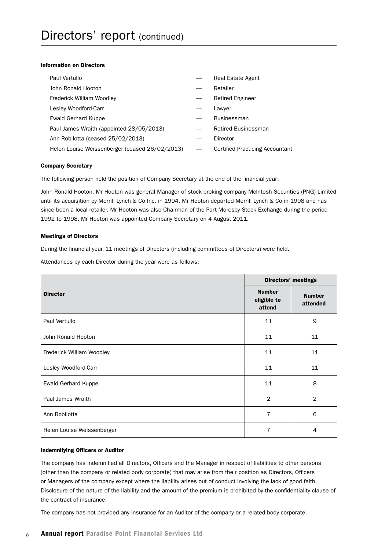#### Information on Directors

| Paul Vertullo                                  |                               | Real Estate Agent                      |
|------------------------------------------------|-------------------------------|----------------------------------------|
| John Ronald Hooton                             |                               | Retailer                               |
| Frederick William Woodley                      | $\overbrace{\phantom{aaaaa}}$ | <b>Retired Engineer</b>                |
| Lesley Woodford-Carr                           |                               | Lawyer                                 |
| Ewald Gerhard Kuppe                            |                               | <b>Businessman</b>                     |
| Paul James Wraith (appointed 28/05/2013)       | $\overline{\phantom{0}}$      | <b>Retired Businessman</b>             |
| Ann Robilotta (ceased 25/02/2013)              |                               | Director                               |
| Helen Louise Weissenberger (ceased 26/02/2013) |                               | <b>Certified Practicing Accountant</b> |

#### Company Secretary

The following person held the position of Company Secretary at the end of the financial year:

John Ronald Hooton. Mr Hooton was general Manager of stock broking company McIntosh Securities (PNG) Limited until its acquisition by Merrill Lynch & Co Inc. in 1994. Mr Hooton departed Merrill Lynch & Co in 1998 and has since been a local retailer. Mr Hooton was also Chairman of the Port Moresby Stock Exchange during the period 1992 to 1998. Mr Hooton was appointed Company Secretary on 4 August 2011.

#### Meetings of Directors

During the financial year, 11 meetings of Directors (including committees of Directors) were held.

Attendances by each Director during the year were as follows:

|                            | <b>Directors' meetings</b>             |                           |
|----------------------------|----------------------------------------|---------------------------|
| <b>Director</b>            | <b>Number</b><br>eligible to<br>attend | <b>Number</b><br>attended |
| Paul Vertullo              | 11                                     | 9                         |
| John Ronald Hooton         | 11                                     | 11                        |
| Frederick William Woodley  | 11                                     | 11                        |
| Lesley Woodford-Carr       | 11                                     | 11                        |
| Ewald Gerhard Kuppe        | 11                                     | 8                         |
| Paul James Wraith          | 2                                      | 2                         |
| Ann Robilotta              | $\overline{7}$                         | 6                         |
| Helen Louise Weissenberger | 7                                      | 4                         |

#### Indemnifying Officers or Auditor

The company has indemnified all Directors, Officers and the Manager in respect of liabilities to other persons (other than the company or related body corporate) that may arise from their position as Directors, Officers or Managers of the company except where the liability arises out of conduct involving the lack of good faith. Disclosure of the nature of the liability and the amount of the premium is prohibited by the confidentiality clause of the contract of insurance.

The company has not provided any insurance for an Auditor of the company or a related body corporate.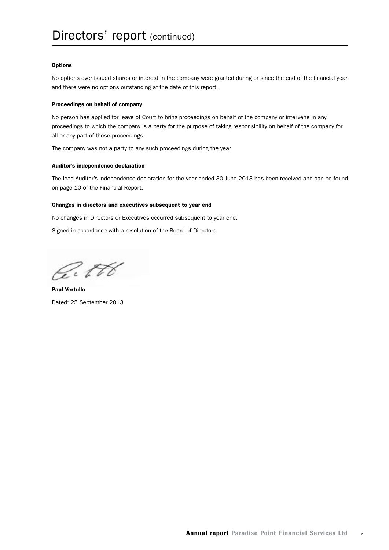#### **Options**

No options over issued shares or interest in the company were granted during or since the end of the financial year and there were no options outstanding at the date of this report.

#### Proceedings on behalf of company

No person has applied for leave of Court to bring proceedings on behalf of the company or intervene in any proceedings to which the company is a party for the purpose of taking responsibility on behalf of the company for all or any part of those proceedings.

The company was not a party to any such proceedings during the year.

#### Auditor's independence declaration

The lead Auditor's independence declaration for the year ended 30 June 2013 has been received and can be found on page 10 of the Financial Report.

#### Changes in directors and executives subsequent to year end

No changes in Directors or Executives occurred subsequent to year end.

Signed in accordance with a resolution of the Board of Directors

A. til

Paul Vertullo Dated: 25 September 2013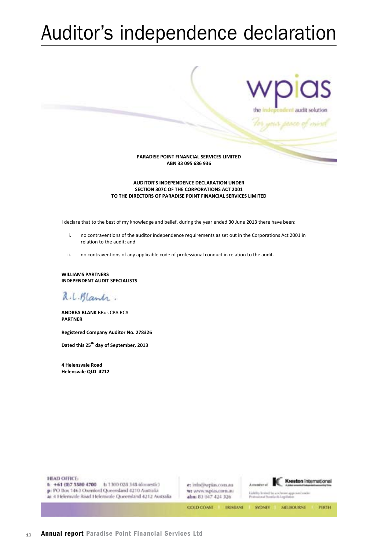# Auditor's independence declaration



**PARADISE POINT FINANCIAL SERVICES LIMITED** ABN 33 095 686 936

AUDITOR'S INDEPENDENCE DECLARATION UNDER SECTION 307C OF THE CORPORATIONS ACT 2001 TO THE DIRECTORS OF PARADISE POINT FINANCIAL SERVICES LIMITED

I declare that to the best of my knowledge and belief, during the year ended 30 June 2013 there have been:

- i. no contraventions of the auditor independence requirements as set out in the Corporations Act 2001 in relation to the audit; and
- ii. no contraventions of any applicable code of professional conduct in relation to the audit.

**WILLIAMS PARTNERS INDEPENDENT AUDIT SPECIALISTS** 

R.L.Blank. 

**ANDREA BLANK BBus CPA RCA PARTNER** 

**Registered Company Auditor No. 278326** 

Dated this 25<sup>th</sup> day of September, 2013

4 Helensvale Road Helensvale QLD 4212

HEAD OFFICE: Kreston International t: +61 (0)7 5580 4700 t: 1300 028 348 (domestic) e: info@wpias.com.au p: PO Box 1463 Oxenford Queensland 4210 Australia we www.wpias.com.in/ a: 4 Helenwale Road Helenwale Queensland 4212 Australia abn: 83 047 424 326 GOLD COAST INSIEMAL SYDNEY MEIBOURNE PERTH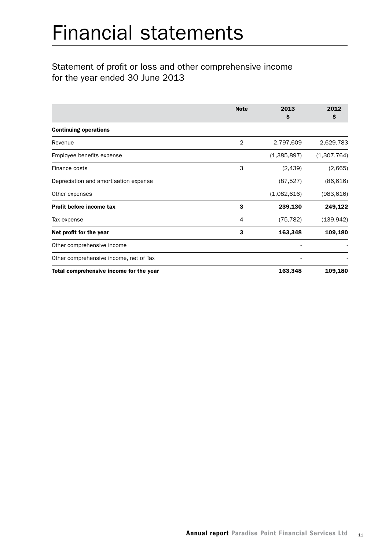## Statement of profit or loss and other comprehensive income for the year ended 30 June 2013

|                                         | <b>Note</b> | 2013<br>Ş   | 2012<br>\$  |
|-----------------------------------------|-------------|-------------|-------------|
| <b>Continuing operations</b>            |             |             |             |
| Revenue                                 | 2           | 2,797,609   | 2,629,783   |
| Employee benefits expense               |             | (1,385,897) | (1,307,764) |
| Finance costs                           | 3           | (2, 439)    | (2,665)     |
| Depreciation and amortisation expense   |             | (87, 527)   | (86, 616)   |
| Other expenses                          |             | (1,082,616) | (983,616)   |
| <b>Profit before income tax</b>         | 3           | 239,130     | 249,122     |
| Tax expense                             | 4           | (75, 782)   | (139, 942)  |
| Net profit for the year                 | 3           | 163,348     | 109,180     |
| Other comprehensive income              |             |             |             |
| Other comprehensive income, net of Tax  |             |             |             |
| Total comprehensive income for the year |             | 163,348     | 109,180     |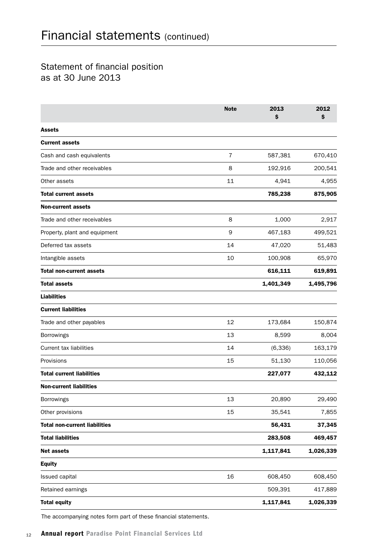## Statement of financial position as at 30 June 2013

|                                      | <b>Note</b>    | 2013<br>\$ | 2012<br>\$ |
|--------------------------------------|----------------|------------|------------|
| <b>Assets</b>                        |                |            |            |
| <b>Current assets</b>                |                |            |            |
| Cash and cash equivalents            | $\overline{7}$ | 587,381    | 670,410    |
| Trade and other receivables          | 8              | 192,916    | 200,541    |
| Other assets                         | 11             | 4,941      | 4,955      |
| <b>Total current assets</b>          |                | 785,238    | 875,905    |
| <b>Non-current assets</b>            |                |            |            |
| Trade and other receivables          | 8              | 1,000      | 2,917      |
| Property, plant and equipment        | 9              | 467,183    | 499,521    |
| Deferred tax assets                  | 14             | 47,020     | 51,483     |
| Intangible assets                    | 10             | 100,908    | 65,970     |
| <b>Total non-current assets</b>      |                | 616,111    | 619,891    |
| <b>Total assets</b>                  |                | 1,401,349  | 1,495,796  |
| <b>Liabilities</b>                   |                |            |            |
| <b>Current liabilities</b>           |                |            |            |
| Trade and other payables             | 12             | 173,684    | 150,874    |
| Borrowings                           | 13             | 8,599      | 8,004      |
| <b>Current tax liabilities</b>       | 14             | (6, 336)   | 163,179    |
| Provisions                           | 15             | 51,130     | 110,056    |
| <b>Total current liabilities</b>     |                | 227,077    | 432,112    |
| <b>Non-current liabilities</b>       |                |            |            |
| Borrowings                           | 13             | 20,890     | 29,490     |
| Other provisions                     | 15             | 35,541     | 7,855      |
| <b>Total non-current liabilities</b> |                | 56,431     | 37,345     |
| <b>Total liabilities</b>             |                | 283,508    | 469,457    |
| Net assets                           |                | 1,117,841  | 1,026,339  |
| <b>Equity</b>                        |                |            |            |
| Issued capital                       | 16             | 608,450    | 608,450    |
| Retained earnings                    |                | 509,391    | 417,889    |
| <b>Total equity</b>                  |                | 1,117,841  | 1,026,339  |
|                                      |                |            |            |

The accompanying notes form part of these financial statements.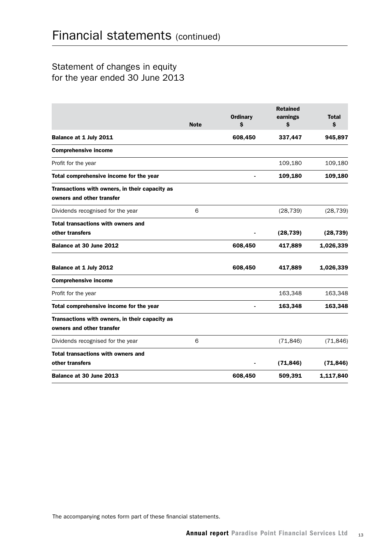## Statement of changes in equity for the year ended 30 June 2013

|                                                                             | <b>Note</b> | <b>Ordinary</b><br>\$ | <b>Retained</b><br>earnings<br>\$ | <b>Total</b><br>\$ |
|-----------------------------------------------------------------------------|-------------|-----------------------|-----------------------------------|--------------------|
| Balance at 1 July 2011                                                      |             | 608,450               | 337,447                           | 945,897            |
| <b>Comprehensive income</b>                                                 |             |                       |                                   |                    |
| Profit for the year                                                         |             |                       | 109,180                           | 109,180            |
| Total comprehensive income for the year                                     |             |                       | 109,180                           | 109,180            |
| Transactions with owners, in their capacity as<br>owners and other transfer |             |                       |                                   |                    |
| Dividends recognised for the year                                           | 6           |                       | (28, 739)                         | (28, 739)          |
| <b>Total transactions with owners and</b><br>other transfers                |             |                       | (28, 739)                         | (28, 739)          |
| Balance at 30 June 2012                                                     |             | 608,450               | 417,889                           | 1,026,339          |
| Balance at 1 July 2012                                                      |             | 608,450               | 417,889                           | 1,026,339          |
| <b>Comprehensive income</b>                                                 |             |                       |                                   |                    |
| Profit for the year                                                         |             |                       | 163,348                           | 163,348            |
| Total comprehensive income for the year                                     |             |                       | 163,348                           | 163,348            |
| Transactions with owners, in their capacity as<br>owners and other transfer |             |                       |                                   |                    |
| Dividends recognised for the year                                           | 6           |                       | (71, 846)                         | (71, 846)          |
| <b>Total transactions with owners and</b><br>other transfers                |             |                       | (71, 846)                         | (71, 846)          |
| Balance at 30 June 2013                                                     |             | 608,450               | 509,391                           | 1,117,840          |

The accompanying notes form part of these financial statements.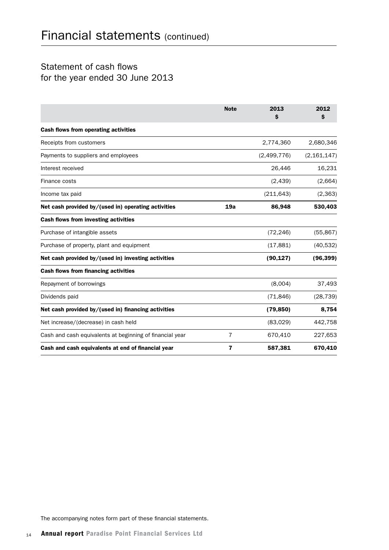## Statement of cash flows for the year ended 30 June 2013

|                                                          | <b>Note</b> | 2013<br>\$  | 2012<br>\$    |
|----------------------------------------------------------|-------------|-------------|---------------|
| <b>Cash flows from operating activities</b>              |             |             |               |
| Receipts from customers                                  |             | 2,774,360   | 2,680,346     |
| Payments to suppliers and employees                      |             | (2,499,776) | (2, 161, 147) |
| Interest received                                        |             | 26,446      | 16,231        |
| Finance costs                                            |             | (2,439)     | (2,664)       |
| Income tax paid                                          |             | (211, 643)  | (2, 363)      |
| Net cash provided by/(used in) operating activities      | 19a         | 86,948      | 530,403       |
| <b>Cash flows from investing activities</b>              |             |             |               |
| Purchase of intangible assets                            |             | (72, 246)   | (55, 867)     |
| Purchase of property, plant and equipment                |             | (17, 881)   | (40,532)      |
| Net cash provided by/(used in) investing activities      |             | (90, 127)   | (96, 399)     |
| <b>Cash flows from financing activities</b>              |             |             |               |
| Repayment of borrowings                                  |             | (8,004)     | 37,493        |
| Dividends paid                                           |             | (71, 846)   | (28, 739)     |
| Net cash provided by/(used in) financing activities      |             | (79, 850)   | 8,754         |
| Net increase/(decrease) in cash held                     |             | (83,029)    | 442,758       |
| Cash and cash equivalents at beginning of financial year | 7           | 670,410     | 227,653       |
| Cash and cash equivalents at end of financial year       | 7           | 587,381     | 670,410       |

The accompanying notes form part of these financial statements.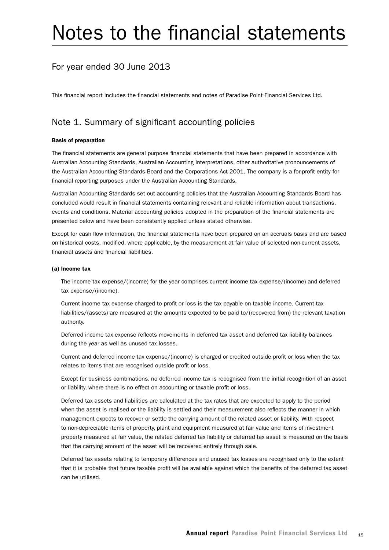# Notes to the financial statements

## For year ended 30 June 2013

This financial report includes the financial statements and notes of Paradise Point Financial Services Ltd.

## Note 1. Summary of significant accounting policies

#### Basis of preparation

The financial statements are general purpose financial statements that have been prepared in accordance with Australian Accounting Standards, Australian Accounting Interpretations, other authoritative pronouncements of the Australian Accounting Standards Board and the Corporations Act 2001. The company is a for-profit entity for financial reporting purposes under the Australian Accounting Standards.

Australian Accounting Standards set out accounting policies that the Australian Accounting Standards Board has concluded would result in financial statements containing relevant and reliable information about transactions, events and conditions. Material accounting policies adopted in the preparation of the financial statements are presented below and have been consistently applied unless stated otherwise.

Except for cash flow information, the financial statements have been prepared on an accruals basis and are based on historical costs, modified, where applicable, by the measurement at fair value of selected non-current assets, financial assets and financial liabilities.

#### (a) Income tax

The income tax expense/(income) for the year comprises current income tax expense/(income) and deferred tax expense/(income).

Current income tax expense charged to profit or loss is the tax payable on taxable income. Current tax liabilities/(assets) are measured at the amounts expected to be paid to/(recovered from) the relevant taxation authority.

Deferred income tax expense reflects movements in deferred tax asset and deferred tax liability balances during the year as well as unused tax losses.

Current and deferred income tax expense/(income) is charged or credited outside profit or loss when the tax relates to items that are recognised outside profit or loss.

Except for business combinations, no deferred income tax is recognised from the initial recognition of an asset or liability, where there is no effect on accounting or taxable profit or loss.

Deferred tax assets and liabilities are calculated at the tax rates that are expected to apply to the period when the asset is realised or the liability is settled and their measurement also reflects the manner in which management expects to recover or settle the carrying amount of the related asset or liability. With respect to non-depreciable items of property, plant and equipment measured at fair value and items of investment property measured at fair value, the related deferred tax liability or deferred tax asset is measured on the basis that the carrying amount of the asset will be recovered entirely through sale.

Deferred tax assets relating to temporary differences and unused tax losses are recognised only to the extent that it is probable that future taxable profit will be available against which the benefits of the deferred tax asset can be utilised.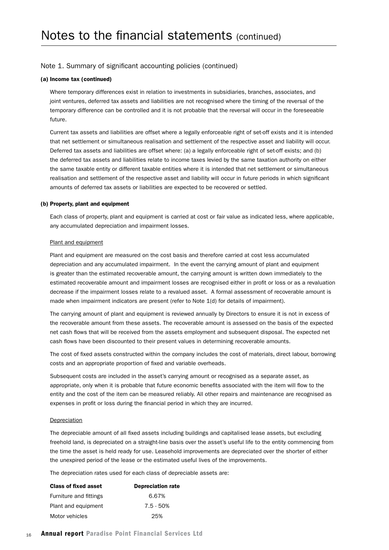#### (a) Income tax (continued)

Where temporary differences exist in relation to investments in subsidiaries, branches, associates, and joint ventures, deferred tax assets and liabilities are not recognised where the timing of the reversal of the temporary difference can be controlled and it is not probable that the reversal will occur in the foreseeable future.

Current tax assets and liabilities are offset where a legally enforceable right of set-off exists and it is intended that net settlement or simultaneous realisation and settlement of the respective asset and liability will occur. Deferred tax assets and liabilities are offset where: (a) a legally enforceable right of set-off exists; and (b) the deferred tax assets and liabilities relate to income taxes levied by the same taxation authority on either the same taxable entity or different taxable entities where it is intended that net settlement or simultaneous realisation and settlement of the respective asset and liability will occur in future periods in which significant amounts of deferred tax assets or liabilities are expected to be recovered or settled.

#### (b) Property, plant and equipment

Each class of property, plant and equipment is carried at cost or fair value as indicated less, where applicable, any accumulated depreciation and impairment losses.

#### Plant and equipment

Plant and equipment are measured on the cost basis and therefore carried at cost less accumulated depreciation and any accumulated impairment. In the event the carrying amount of plant and equipment is greater than the estimated recoverable amount, the carrying amount is written down immediately to the estimated recoverable amount and impairment losses are recognised either in profit or loss or as a revaluation decrease if the impairment losses relate to a revalued asset. A formal assessment of recoverable amount is made when impairment indicators are present (refer to Note 1(d) for details of impairment).

The carrying amount of plant and equipment is reviewed annually by Directors to ensure it is not in excess of the recoverable amount from these assets. The recoverable amount is assessed on the basis of the expected net cash flows that will be received from the assets employment and subsequent disposal. The expected net cash flows have been discounted to their present values in determining recoverable amounts.

The cost of fixed assets constructed within the company includes the cost of materials, direct labour, borrowing costs and an appropriate proportion of fixed and variable overheads.

Subsequent costs are included in the asset's carrying amount or recognised as a separate asset, as appropriate, only when it is probable that future economic benefits associated with the item will flow to the entity and the cost of the item can be measured reliably. All other repairs and maintenance are recognised as expenses in profit or loss during the financial period in which they are incurred.

#### Depreciation

The depreciable amount of all fixed assets including buildings and capitalised lease assets, but excluding freehold land, is depreciated on a straight-line basis over the asset's useful life to the entity commencing from the time the asset is held ready for use. Leasehold improvements are depreciated over the shorter of either the unexpired period of the lease or the estimated useful lives of the improvements.

The depreciation rates used for each class of depreciable assets are:

| <b>Class of fixed asset</b> | <b>Depreciation rate</b> |
|-----------------------------|--------------------------|
| Furniture and fittings      | 6.67%                    |
| Plant and equipment         | $7.5 - 50%$              |
| Motor vehicles              | 25%                      |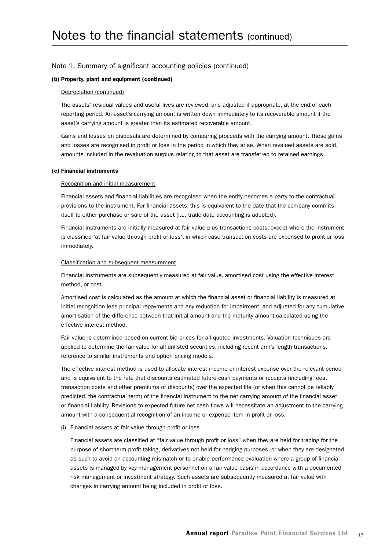#### (b) Property, plant and equipment (continued)

#### Depreciation (continued)

The assets' residual values and useful lives are reviewed, and adjusted if appropriate, at the end of each reporting period. An asset's carrying amount is written down immediately to its recoverable amount if the asset's carrying amount is greater than its estimated recoverable amount.

Gains and losses on disposals are determined by comparing proceeds with the carrying amount. These gains and losses are recognised in profit or loss in the period in which they arise. When revalued assets are sold, amounts included in the revaluation surplus relating to that asset are transferred to retained earnings.

#### (c) Financial instruments

#### Recognition and initial measurement

Financial assets and financial liabilities are recognised when the entity becomes a party to the contractual provisions to the instrument. For financial assets, this is equivalent to the date that the company commits itself to either purchase or sale of the asset (i.e. trade date accounting is adopted).

Financial instruments are initially measured at fair value plus transactions costs, except where the instrument is classified 'at fair value through profit or loss', in which case transaction costs are expensed to profit or loss immediately.

#### Classification and subsequent measurement

Financial instruments are subsequently measured at fair value, amortised cost using the effective interest method, or cost.

Amortised cost is calculated as the amount at which the financial asset or financial liability is measured at initial recognition less principal repayments and any reduction for impairment, and adjusted for any cumulative amortisation of the difference between that initial amount and the maturity amount calculated using the effective interest method.

Fair value is determined based on current bid prices for all quoted investments. Valuation techniques are applied to determine the fair value for all unlisted securities, including recent arm's length transactions, reference to similar instruments and option pricing models.

The effective interest method is used to allocate interest income or interest expense over the relevant period and is equivalent to the rate that discounts estimated future cash payments or receipts (including fees, transaction costs and other premiums or discounts) over the expected life (or when this cannot be reliably predicted, the contractual term) of the financial instrument to the net carrying amount of the financial asset or financial liability. Revisions to expected future net cash flows will necessitate an adjustment to the carrying amount with a consequential recognition of an income or expense item in profit or loss.

#### (i) Financial assets at fair value through profit or loss

Financial assets are classified at "fair value through profit or loss" when they are held for trading for the purpose of short-term profit taking, derivatives not held for hedging purposes, or when they are designated as such to avoid an accounting mismatch or to enable performance evaluation where a group of financial assets is managed by key management personnel on a fair value basis in accordance with a documented risk management or investment strategy. Such assets are subsequently measured at fair value with changes in carrying amount being included in profit or loss.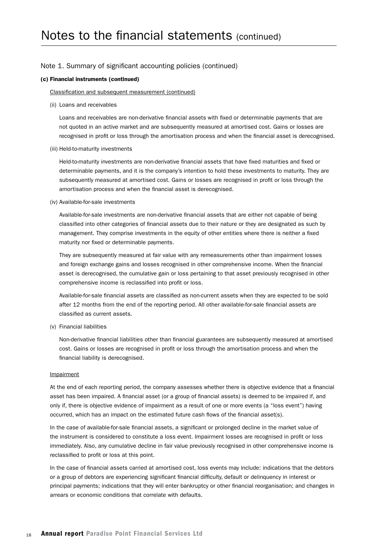#### (c) Financial instruments (continued)

Classification and subsequent measurement (continued)

(ii) Loans and receivables

Loans and receivables are non-derivative financial assets with fixed or determinable payments that are not quoted in an active market and are subsequently measured at amortised cost. Gains or losses are recognised in profit or loss through the amortisation process and when the financial asset is derecognised.

(iii) Held-to-maturity investments

Held-to-maturity investments are non-derivative financial assets that have fixed maturities and fixed or determinable payments, and it is the company's intention to hold these investments to maturity. They are subsequently measured at amortised cost. Gains or losses are recognised in profit or loss through the amortisation process and when the financial asset is derecognised.

(iv) Available-for-sale investments

Available-for-sale investments are non-derivative financial assets that are either not capable of being classified into other categories of financial assets due to their nature or they are designated as such by management. They comprise investments in the equity of other entities where there is neither a fixed maturity nor fixed or determinable payments.

They are subsequently measured at fair value with any remeasurements other than impairment losses and foreign exchange gains and losses recognised in other comprehensive income. When the financial asset is derecognised, the cumulative gain or loss pertaining to that asset previously recognised in other comprehensive income is reclassified into profit or loss.

Available-for-sale financial assets are classified as non-current assets when they are expected to be sold after 12 months from the end of the reporting period. All other available-for-sale financial assets are classified as current assets.

(v) Financial liabilities

Non-derivative financial liabilities other than financial guarantees are subsequently measured at amortised cost. Gains or losses are recognised in profit or loss through the amortisation process and when the financial liability is derecognised.

#### Impairment

At the end of each reporting period, the company assesses whether there is objective evidence that a financial asset has been impaired. A financial asset (or a group of financial assets) is deemed to be impaired if, and only if, there is objective evidence of impairment as a result of one or more events (a "loss event") having occurred, which has an impact on the estimated future cash flows of the financial asset(s).

In the case of available-for-sale financial assets, a significant or prolonged decline in the market value of the instrument is considered to constitute a loss event. Impairment losses are recognised in profit or loss immediately. Also, any cumulative decline in fair value previously recognised in other comprehensive income is reclassified to profit or loss at this point.

In the case of financial assets carried at amortised cost, loss events may include: indications that the debtors or a group of debtors are experiencing significant financial difficulty, default or delinquency in interest or principal payments; indications that they will enter bankruptcy or other financial reorganisation; and changes in arrears or economic conditions that correlate with defaults.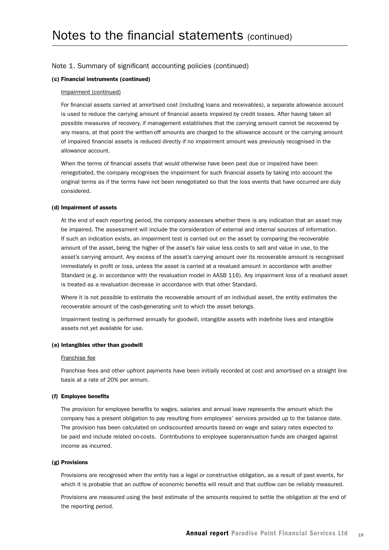#### (c) Financial instruments (continued)

#### Impairment (continued)

For financial assets carried at amortised cost (including loans and receivables), a separate allowance account is used to reduce the carrying amount of financial assets impaired by credit losses. After having taken all possible measures of recovery, if management establishes that the carrying amount cannot be recovered by any means, at that point the written-off amounts are charged to the allowance account or the carrying amount of impaired financial assets is reduced directly if no impairment amount was previously recognised in the allowance account.

When the terms of financial assets that would otherwise have been past due or impaired have been renegotiated, the company recognises the impairment for such financial assets by taking into account the original terms as if the terms have not been renegotiated so that the loss events that have occurred are duly considered.

#### (d) Impairment of assets

At the end of each reporting period, the company assesses whether there is any indication that an asset may be impaired. The assessment will include the consideration of external and internal sources of information. If such an indication exists, an impairment test is carried out on the asset by comparing the recoverable amount of the asset, being the higher of the asset's fair value less costs to sell and value in use, to the asset's carrying amount. Any excess of the asset's carrying amount over its recoverable amount is recognised immediately in profit or loss, unless the asset is carried at a revalued amount in accordance with another Standard (e.g. in accordance with the revaluation model in AASB 116). Any impairment loss of a revalued asset is treated as a revaluation decrease in accordance with that other Standard.

Where it is not possible to estimate the recoverable amount of an individual asset, the entity estimates the recoverable amount of the cash-generating unit to which the asset belongs.

Impairment testing is performed annually for goodwill, intangible assets with indefinite lives and intangible assets not yet available for use.

#### (e) Intangibles other than goodwill

#### Franchise fee

Franchise fees and other upfront payments have been initially recorded at cost and amortised on a straight line basis at a rate of 20% per annum.

#### (f) Employee benefits

The provision for employee benefits to wages, salaries and annual leave represents the amount which the company has a present obligation to pay resulting from employees' services provided up to the balance date. The provision has been calculated on undiscounted amounts based on wage and salary rates expected to be paid and include related on-costs. Contributions to employee superannuation funds are charged against income as incurred.

#### (g) Provisions

Provisions are recognised when the entity has a legal or constructive obligation, as a result of past events, for which it is probable that an outflow of economic benefits will result and that outflow can be reliably measured.

Provisions are measured using the best estimate of the amounts required to settle the obligation at the end of the reporting period.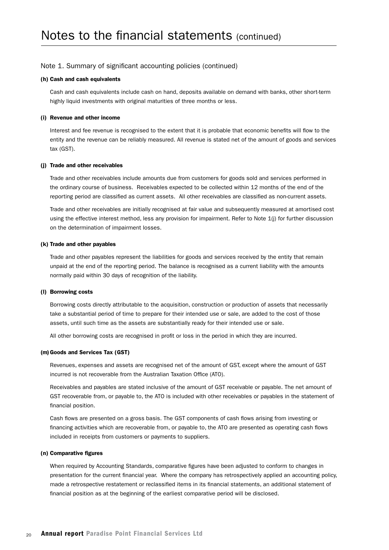#### (h) Cash and cash equivalents

Cash and cash equivalents include cash on hand, deposits available on demand with banks, other short-term highly liquid investments with original maturities of three months or less.

#### (i) Revenue and other income

Interest and fee revenue is recognised to the extent that it is probable that economic benefits will flow to the entity and the revenue can be reliably measured. All revenue is stated net of the amount of goods and services tax (GST).

#### (j) Trade and other receivables

Trade and other receivables include amounts due from customers for goods sold and services performed in the ordinary course of business. Receivables expected to be collected within 12 months of the end of the reporting period are classified as current assets. All other receivables are classified as non-current assets.

Trade and other receivables are initially recognised at fair value and subsequently measured at amortised cost using the effective interest method, less any provision for impairment. Refer to Note 1(j) for further discussion on the determination of impairment losses.

#### (k) Trade and other payables

Trade and other payables represent the liabilities for goods and services received by the entity that remain unpaid at the end of the reporting period. The balance is recognised as a current liability with the amounts normally paid within 30 days of recognition of the liability.

#### (l) Borrowing costs

Borrowing costs directly attributable to the acquisition, construction or production of assets that necessarily take a substantial period of time to prepare for their intended use or sale, are added to the cost of those assets, until such time as the assets are substantially ready for their intended use or sale.

All other borrowing costs are recognised in profit or loss in the period in which they are incurred.

#### (m) Goods and Services Tax (GST)

Revenues, expenses and assets are recognised net of the amount of GST, except where the amount of GST incurred is not recoverable from the Australian Taxation Office (ATO).

Receivables and payables are stated inclusive of the amount of GST receivable or payable. The net amount of GST recoverable from, or payable to, the ATO is included with other receivables or payables in the statement of financial position.

Cash flows are presented on a gross basis. The GST components of cash flows arising from investing or financing activities which are recoverable from, or payable to, the ATO are presented as operating cash flows included in receipts from customers or payments to suppliers.

#### (n) Comparative figures

When required by Accounting Standards, comparative figures have been adjusted to conform to changes in presentation for the current financial year. Where the company has retrospectively applied an accounting policy, made a retrospective restatement or reclassified items in its financial statements, an additional statement of financial position as at the beginning of the earliest comparative period will be disclosed.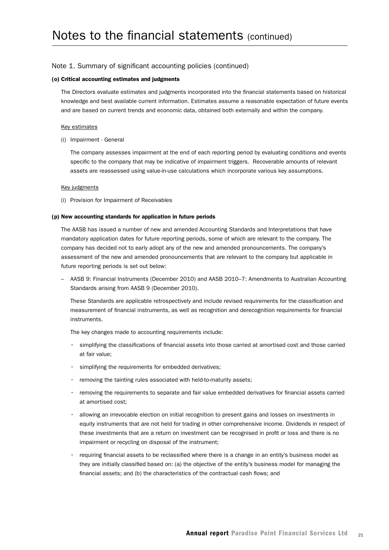#### (o) Critical accounting estimates and judgments

The Directors evaluate estimates and judgments incorporated into the financial statements based on historical knowledge and best available current information. Estimates assume a reasonable expectation of future events and are based on current trends and economic data, obtained both externally and within the company.

#### Key estimates

(i) Impairment - General

The company assesses impairment at the end of each reporting period by evaluating conditions and events specific to the company that may be indicative of impairment triggers. Recoverable amounts of relevant assets are reassessed using value-in-use calculations which incorporate various key assumptions.

#### Key judgments

(i) Provision for Impairment of Receivables

#### (p) New accounting standards for application in future periods

The AASB has issued a number of new and amended Accounting Standards and Interpretations that have mandatory application dates for future reporting periods, some of which are relevant to the company. The company has decided not to early adopt any of the new and amended pronouncements. The company's assessment of the new and amended pronouncements that are relevant to the company but applicable in future reporting periods is set out below:

– AASB 9: Financial Instruments (December 2010) and AASB 2010–7: Amendments to Australian Accounting Standards arising from AASB 9 (December 2010).

These Standards are applicable retrospectively and include revised requirements for the classification and measurement of financial instruments, as well as recognition and derecognition requirements for financial instruments.

The key changes made to accounting requirements include:

- simplifying the classifications of financial assets into those carried at amortised cost and those carried at fair value;
- • simplifying the requirements for embedded derivatives;
- removing the tainting rules associated with held-to-maturity assets;
- removing the requirements to separate and fair value embedded derivatives for financial assets carried at amortised cost;
- allowing an irrevocable election on initial recognition to present gains and losses on investments in equity instruments that are not held for trading in other comprehensive income. Dividends in respect of these investments that are a return on investment can be recognised in profit or loss and there is no impairment or recycling on disposal of the instrument;
- requiring financial assets to be reclassified where there is a change in an entity's business model as they are initially classified based on: (a) the objective of the entity's business model for managing the financial assets; and (b) the characteristics of the contractual cash flows; and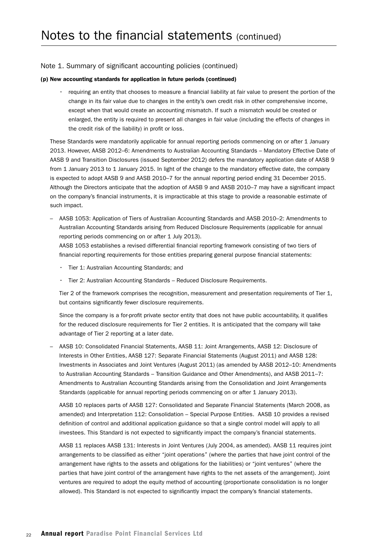#### (p) New accounting standards for application in future periods (continued)

• requiring an entity that chooses to measure a financial liability at fair value to present the portion of the change in its fair value due to changes in the entity's own credit risk in other comprehensive income, except when that would create an accounting mismatch. If such a mismatch would be created or enlarged, the entity is required to present all changes in fair value (including the effects of changes in the credit risk of the liability) in profit or loss.

These Standards were mandatorily applicable for annual reporting periods commencing on or after 1 January 2013. However, AASB 2012–6: Amendments to Australian Accounting Standards – Mandatory Effective Date of AASB 9 and Transition Disclosures (issued September 2012) defers the mandatory application date of AASB 9 from 1 January 2013 to 1 January 2015. In light of the change to the mandatory effective date, the company is expected to adopt AASB 9 and AASB 2010–7 for the annual reporting period ending 31 December 2015. Although the Directors anticipate that the adoption of AASB 9 and AASB 2010–7 may have a significant impact on the company's financial instruments, it is impracticable at this stage to provide a reasonable estimate of such impact.

– AASB 1053: Application of Tiers of Australian Accounting Standards and AASB 2010–2: Amendments to Australian Accounting Standards arising from Reduced Disclosure Requirements (applicable for annual reporting periods commencing on or after 1 July 2013).

AASB 1053 establishes a revised differential financial reporting framework consisting of two tiers of financial reporting requirements for those entities preparing general purpose financial statements:

- • Tier 1: Australian Accounting Standards; and
- Tier 2: Australian Accounting Standards Reduced Disclosure Requirements.

Tier 2 of the framework comprises the recognition, measurement and presentation requirements of Tier 1, but contains significantly fewer disclosure requirements.

Since the company is a for-profit private sector entity that does not have public accountability, it qualifies for the reduced disclosure requirements for Tier 2 entities. It is anticipated that the company will take advantage of Tier 2 reporting at a later date.

– AASB 10: Consolidated Financial Statements, AASB 11: Joint Arrangements, AASB 12: Disclosure of Interests in Other Entities, AASB 127: Separate Financial Statements (August 2011) and AASB 128: Investments in Associates and Joint Ventures (August 2011) (as amended by AASB 2012–10: Amendments to Australian Accounting Standards – Transition Guidance and Other Amendments), and AASB 2011–7: Amendments to Australian Accounting Standards arising from the Consolidation and Joint Arrangements Standards (applicable for annual reporting periods commencing on or after 1 January 2013).

AASB 10 replaces parts of AASB 127: Consolidated and Separate Financial Statements (March 2008, as amended) and Interpretation 112: Consolidation – Special Purpose Entities. AASB 10 provides a revised definition of control and additional application guidance so that a single control model will apply to all investees. This Standard is not expected to significantly impact the company's financial statements.

AASB 11 replaces AASB 131: Interests in Joint Ventures (July 2004, as amended). AASB 11 requires joint arrangements to be classified as either "joint operations" (where the parties that have joint control of the arrangement have rights to the assets and obligations for the liabilities) or "joint ventures" (where the parties that have joint control of the arrangement have rights to the net assets of the arrangement). Joint ventures are required to adopt the equity method of accounting (proportionate consolidation is no longer allowed). This Standard is not expected to significantly impact the company's financial statements.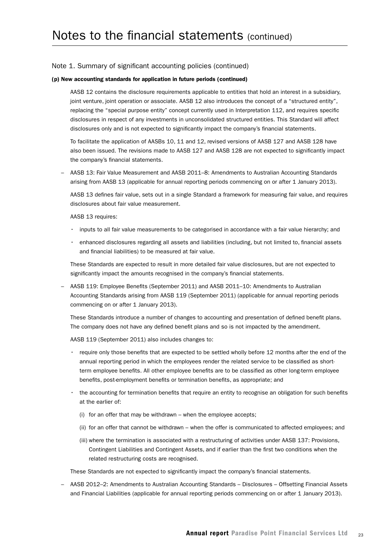#### (p) New accounting standards for application in future periods (continued)

AASB 12 contains the disclosure requirements applicable to entities that hold an interest in a subsidiary, joint venture, joint operation or associate. AASB 12 also introduces the concept of a "structured entity", replacing the "special purpose entity" concept currently used in Interpretation 112, and requires specific disclosures in respect of any investments in unconsolidated structured entities. This Standard will affect disclosures only and is not expected to significantly impact the company's financial statements.

To facilitate the application of AASBs 10, 11 and 12, revised versions of AASB 127 and AASB 128 have also been issued. The revisions made to AASB 127 and AASB 128 are not expected to significantly impact the company's financial statements.

– AASB 13: Fair Value Measurement and AASB 2011–8: Amendments to Australian Accounting Standards arising from AASB 13 (applicable for annual reporting periods commencing on or after 1 January 2013).

AASB 13 defines fair value, sets out in a single Standard a framework for measuring fair value, and requires disclosures about fair value measurement.

AASB 13 requires:

- inputs to all fair value measurements to be categorised in accordance with a fair value hierarchy; and
- enhanced disclosures regarding all assets and liabilities (including, but not limited to, financial assets and financial liabilities) to be measured at fair value.

These Standards are expected to result in more detailed fair value disclosures, but are not expected to significantly impact the amounts recognised in the company's financial statements.

– AASB 119: Employee Benefits (September 2011) and AASB 2011–10: Amendments to Australian Accounting Standards arising from AASB 119 (September 2011) (applicable for annual reporting periods commencing on or after 1 January 2013).

These Standards introduce a number of changes to accounting and presentation of defined benefit plans. The company does not have any defined benefit plans and so is not impacted by the amendment.

AASB 119 (September 2011) also includes changes to:

- require only those benefits that are expected to be settled wholly before 12 months after the end of the annual reporting period in which the employees render the related service to be classified as shortterm employee benefits. All other employee benefits are to be classified as other long-term employee benefits, post-employment benefits or termination benefits, as appropriate; and
- the accounting for termination benefits that require an entity to recognise an obligation for such benefits at the earlier of:
	- (i) for an offer that may be withdrawn when the employee accepts;
	- (ii) for an offer that cannot be withdrawn when the offer is communicated to affected employees; and
	- (iii) where the termination is associated with a restructuring of activities under AASB 137: Provisions, Contingent Liabilities and Contingent Assets, and if earlier than the first two conditions when the related restructuring costs are recognised.

These Standards are not expected to significantly impact the company's financial statements.

– AASB 2012–2: Amendments to Australian Accounting Standards – Disclosures – Offsetting Financial Assets and Financial Liabilities (applicable for annual reporting periods commencing on or after 1 January 2013).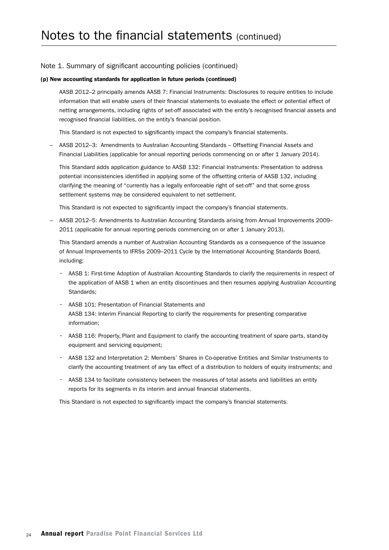#### (p) New accounting standards for application in future periods (continued)

AASB 2012–2 principally amends AASB 7: Financial Instruments: Disclosures to require entities to include information that will enable users of their financial statements to evaluate the effect or potential effect of netting arrangements, including rights of set-off associated with the entity's recognised financial assets and recognised financial liabilities, on the entity's financial position.

This Standard is not expected to significantly impact the company's financial statements.

– AASB 2012–3: Amendments to Australian Accounting Standards – Offsetting Financial Assets and Financial Liabilities (applicable for annual reporting periods commencing on or after 1 January 2014).

This Standard adds application guidance to AASB 132: Financial Instruments: Presentation to address potential inconsistencies identified in applying some of the offsetting criteria of AASB 132, including clarifying the meaning of "currently has a legally enforceable right of set-off" and that some gross settlement systems may be considered equivalent to net settlement.

This Standard is not expected to significantly impact the company's financial statements.

– AASB 2012–5: Amendments to Australian Accounting Standards arising from Annual Improvements 2009– 2011 (applicable for annual reporting periods commencing on or after 1 January 2013).

This Standard amends a number of Australian Accounting Standards as a consequence of the issuance of Annual Improvements to IFRSs 2009–2011 Cycle by the International Accounting Standards Board, including:

- • AASB 1: First-time Adoption of Australian Accounting Standards to clarify the requirements in respect of the application of AASB 1 when an entity discontinues and then resumes applying Australian Accounting Standards;
- • AASB 101: Presentation of Financial Statements and AASB 134: Interim Financial Reporting to clarify the requirements for presenting comparative information;
- • AASB 116: Property, Plant and Equipment to clarify the accounting treatment of spare parts, stand-by equipment and servicing equipment;
- • AASB 132 and Interpretation 2: Members' Shares in Co-operative Entities and Similar Instruments to clarify the accounting treatment of any tax effect of a distribution to holders of equity instruments; and
- AASB 134 to facilitate consistency between the measures of total assets and liabilities an entity reports for its segments in its interim and annual financial statements.

This Standard is not expected to significantly impact the company's financial statements.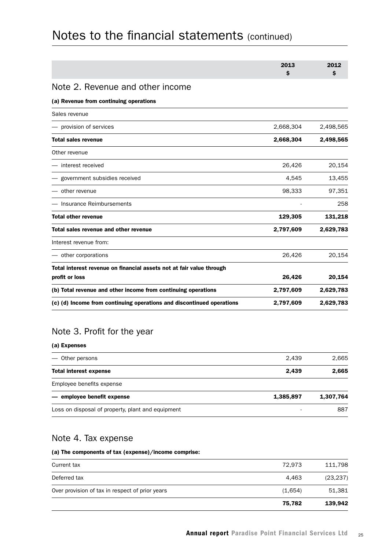|                                                                       | 2013<br>s | 2012<br>s |
|-----------------------------------------------------------------------|-----------|-----------|
| Note 2. Revenue and other income                                      |           |           |
| (a) Revenue from continuing operations                                |           |           |
| Sales revenue                                                         |           |           |
| - provision of services                                               | 2,668,304 | 2,498,565 |
| <b>Total sales revenue</b>                                            | 2,668,304 | 2,498,565 |
| Other revenue                                                         |           |           |
| - interest received                                                   | 26,426    | 20,154    |
| - government subsidies received                                       | 4,545     | 13,455    |
| other revenue                                                         | 98,333    | 97,351    |
| Insurance Reimbursements                                              |           | 258       |
| <b>Total other revenue</b>                                            | 129,305   | 131,218   |
| Total sales revenue and other revenue                                 | 2,797,609 | 2,629,783 |
| Interest revenue from:                                                |           |           |
| - other corporations                                                  | 26,426    | 20,154    |
| Total interest revenue on financial assets not at fair value through  |           |           |
| profit or loss                                                        | 26,426    | 20,154    |
| (b) Total revenue and other income from continuing operations         | 2,797,609 | 2,629,783 |
| (c) (d) Income from continuing operations and discontinued operations | 2,797,609 | 2,629,783 |

## Note 3. Profit for the year

| (a) Expenses                                      |           |           |
|---------------------------------------------------|-----------|-----------|
| Other persons                                     | 2,439     | 2,665     |
| <b>Total interest expense</b>                     | 2,439     | 2,665     |
| Employee benefits expense                         |           |           |
| employee benefit expense                          | 1,385,897 | 1,307,764 |
| Loss on disposal of property, plant and equipment |           | 887       |

## Note 4. Tax expense

#### (a) The components of tax (expense)/income comprise:

|                                                 | 75,782  | 139,942   |
|-------------------------------------------------|---------|-----------|
| Over provision of tax in respect of prior years | (1,654) | 51,381    |
| Deferred tax                                    | 4,463   | (23, 237) |
| Current tax                                     | 72.973  | 111.798   |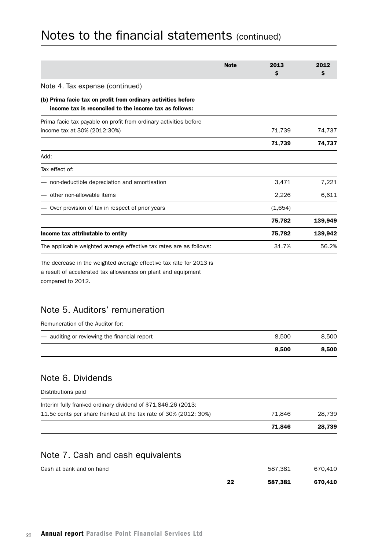|                                                                                                                         | <b>Note</b> | 2013<br>S | 2012<br>\$ |
|-------------------------------------------------------------------------------------------------------------------------|-------------|-----------|------------|
| Note 4. Tax expense (continued)                                                                                         |             |           |            |
| (b) Prima facie tax on profit from ordinary activities before<br>income tax is reconciled to the income tax as follows: |             |           |            |
| Prima facie tax payable on profit from ordinary activities before                                                       |             |           |            |
| income tax at 30% (2012:30%)                                                                                            |             | 71,739    | 74,737     |
|                                                                                                                         |             | 71,739    | 74,737     |
| Add:                                                                                                                    |             |           |            |
| Tax effect of:                                                                                                          |             |           |            |
| - non-deductible depreciation and amortisation                                                                          |             | 3,471     | 7,221      |
| - other non-allowable items                                                                                             |             | 2,226     | 6,611      |
| Over provision of tax in respect of prior years                                                                         |             | (1,654)   |            |
|                                                                                                                         |             | 75,782    | 139,949    |
| Income tax attributable to entity                                                                                       |             | 75,782    | 139,942    |
| The applicable weighted average effective tax rates are as follows:                                                     |             | 31.7%     | 56.2%      |
|                                                                                                                         |             |           |            |

The decrease in the weighted average effective tax rate for 2013 is a result of accelerated tax allowances on plant and equipment compared to 2012.

## Note 5. Auditors' remuneration

Remuneration of the Auditor for:

|                                              | 8,500 | 8.500 |
|----------------------------------------------|-------|-------|
| — auditing or reviewing the financial report | 8.500 | 8.500 |

### Note 6. Dividends

Distributions paid Interim fully franked ordinary dividend of \$71,846.26 (2013: 11.5c cents per share franked at the tax rate of 30% (2012: 30%) 71,846 28,739 71,846 28,739

## Note 7. Cash and cash equivalents

|                          | 22 | 587.381 | 670,410 |
|--------------------------|----|---------|---------|
| Cash at bank and on hand |    | 587.381 | 670,410 |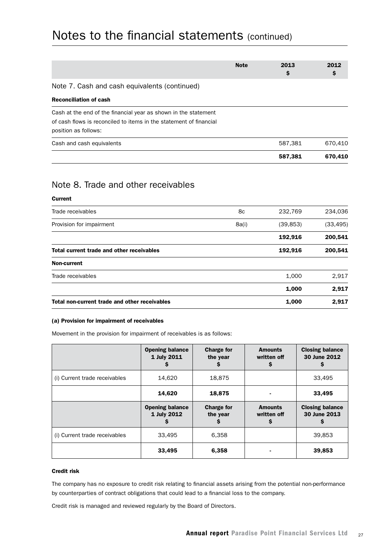|                                                                                                                                                               | <b>Note</b> | 2013<br>Ş | 2012<br>Ş |
|---------------------------------------------------------------------------------------------------------------------------------------------------------------|-------------|-----------|-----------|
| Note 7. Cash and cash equivalents (continued)                                                                                                                 |             |           |           |
| <b>Reconciliation of cash</b>                                                                                                                                 |             |           |           |
| Cash at the end of the financial year as shown in the statement<br>of cash flows is reconciled to items in the statement of financial<br>position as follows: |             |           |           |
| Cash and cash equivalents                                                                                                                                     |             | 587,381   | 670.410   |
|                                                                                                                                                               |             | 587,381   | 670,410   |

## Note 8. Trade and other receivables

| 8c    | 232,769   | 234,036   |
|-------|-----------|-----------|
| 8a(i) | (39, 853) | (33, 495) |
|       | 192,916   | 200,541   |
|       | 192,916   | 200,541   |
|       |           |           |
|       | 1,000     | 2,917     |
|       | 1,000     | 2,917     |
|       | 1,000     | 2,917     |
|       |           |           |

#### (a) Provision for impairment of receivables

Movement in the provision for impairment of receivables is as follows:

|                               | <b>Opening balance</b><br>1 July 2011 | <b>Charge for</b><br>the year<br>s | <b>Amounts</b><br>written off | <b>Closing balance</b><br>30 June 2012<br>⇒ |
|-------------------------------|---------------------------------------|------------------------------------|-------------------------------|---------------------------------------------|
| (i) Current trade receivables | 14,620                                | 18,875                             |                               | 33,495                                      |
|                               | 14,620                                | 18,875                             |                               | 33,495                                      |
|                               | <b>Opening balance</b><br>1 July 2012 | <b>Charge for</b><br>the year<br>s | <b>Amounts</b><br>written off | <b>Closing balance</b><br>30 June 2013      |
| (i) Current trade receivables | 33.495                                | 6,358                              |                               | 39.853                                      |
|                               | 33,495                                | 6,358                              |                               | 39,853                                      |

#### Credit risk

The company has no exposure to credit risk relating to financial assets arising from the potential non-performance by counterparties of contract obligations that could lead to a financial loss to the company.

Credit risk is managed and reviewed regularly by the Board of Directors.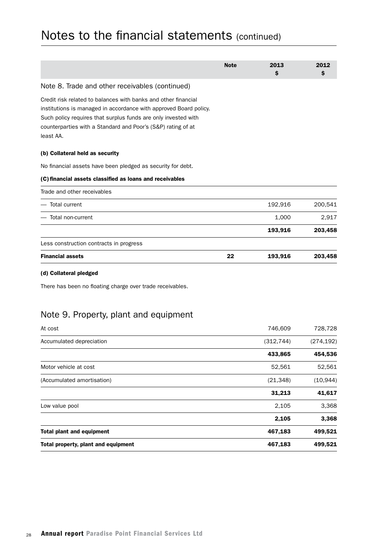|                                                                                                                                                                                                                                                                                    | <b>Note</b> | 2013<br>\$ | 2012<br>\$ |
|------------------------------------------------------------------------------------------------------------------------------------------------------------------------------------------------------------------------------------------------------------------------------------|-------------|------------|------------|
| Note 8. Trade and other receivables (continued)                                                                                                                                                                                                                                    |             |            |            |
| Credit risk related to balances with banks and other financial<br>institutions is managed in accordance with approved Board policy.<br>Such policy requires that surplus funds are only invested with<br>counterparties with a Standard and Poor's (S&P) rating of at<br>least AA. |             |            |            |
| (b) Collateral held as security                                                                                                                                                                                                                                                    |             |            |            |
| No financial assets have been pledged as security for debt.                                                                                                                                                                                                                        |             |            |            |
| (C) financial assets classified as loans and receivables                                                                                                                                                                                                                           |             |            |            |
| Trade and other receivables                                                                                                                                                                                                                                                        |             |            |            |
| - Total current                                                                                                                                                                                                                                                                    |             | 192,916    | 200,541    |
| - Total non-current                                                                                                                                                                                                                                                                |             | 1,000      | 2,917      |
|                                                                                                                                                                                                                                                                                    |             | 193,916    | 203,458    |
| Less construction contracts in progress                                                                                                                                                                                                                                            |             |            |            |
| <b>Financial assets</b>                                                                                                                                                                                                                                                            | 22          | 193,916    | 203,458    |
| (d) Collateral pledged                                                                                                                                                                                                                                                             |             |            |            |
| There has been no floating charge over trade receivables.                                                                                                                                                                                                                          |             |            |            |
| Note 9. Property, plant and equipment                                                                                                                                                                                                                                              |             |            |            |
| At cost                                                                                                                                                                                                                                                                            |             | 746,609    | 728,728    |
| Accumulated depreciation                                                                                                                                                                                                                                                           |             | (312, 744) | (274, 192) |
|                                                                                                                                                                                                                                                                                    |             | 433,865    | 454,536    |
| Motor vehicle at cost                                                                                                                                                                                                                                                              |             | 52,561     | 52,561     |
| (Accumulated amortisation)                                                                                                                                                                                                                                                         |             | (21, 348)  | (10, 944)  |
|                                                                                                                                                                                                                                                                                    |             | 31,213     | 41,617     |
| Low value pool                                                                                                                                                                                                                                                                     |             | 2,105      | 3,368      |
|                                                                                                                                                                                                                                                                                    |             | 2,105      | 3,368      |
| <b>Total plant and equipment</b>                                                                                                                                                                                                                                                   |             | 467,183    | 499,521    |
| Total property, plant and equipment                                                                                                                                                                                                                                                |             | 467,183    | 499,521    |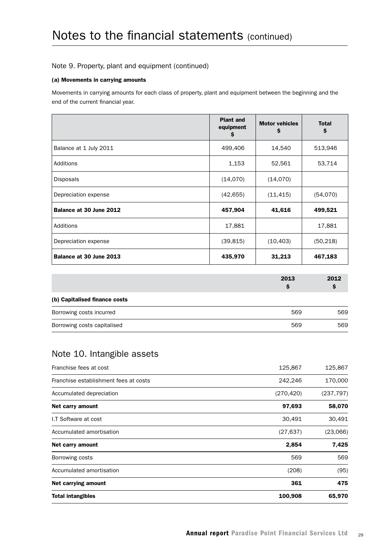#### Note 9. Property, plant and equipment (continued)

#### (a) Movements in carrying amounts

Movements in carrying amounts for each class of property, plant and equipment between the beginning and the end of the current financial year.

|                         | <b>Plant and</b><br>equipment<br>\$ | <b>Motor vehicles</b><br>S | <b>Total</b><br>S |
|-------------------------|-------------------------------------|----------------------------|-------------------|
| Balance at 1 July 2011  | 499,406                             | 14,540                     | 513,946           |
| Additions               | 1,153                               | 52,561                     | 53,714            |
| <b>Disposals</b>        | (14,070)                            | (14,070)                   |                   |
| Depreciation expense    | (42, 655)                           | (11, 415)                  | (54,070)          |
| Balance at 30 June 2012 | 457,904                             | 41,616                     | 499,521           |
| Additions               | 17,881                              |                            | 17,881            |
| Depreciation expense    | (39, 815)                           | (10, 403)                  | (50, 218)         |
| Balance at 30 June 2013 | 435,970                             | 31,213                     | 467,183           |

|                               | 2013 | 2012<br>s |
|-------------------------------|------|-----------|
| (b) Capitalised finance costs |      |           |
| Borrowing costs incurred      | 569  | 569       |
| Borrowing costs capitalised   | 569  | 569       |

## Note 10. Intangible assets

| <b>Total intangibles</b>              | 100,908    | 65,970     |
|---------------------------------------|------------|------------|
| Net carrying amount                   | 361        | 475        |
| Accumulated amortisation              | (208)      | (95)       |
| Borrowing costs                       | 569        | 569        |
| Net carry amount                      | 2,854      | 7,425      |
| Accumulated amortisation              | (27, 637)  | (23,066)   |
| I.T Software at cost                  | 30,491     | 30,491     |
| Net carry amount                      | 97,693     | 58,070     |
| Accumulated depreciation              | (270, 420) | (237, 797) |
| Franchise establishment fees at costs | 242,246    | 170,000    |
| Franchise fees at cost                | 125,867    | 125,867    |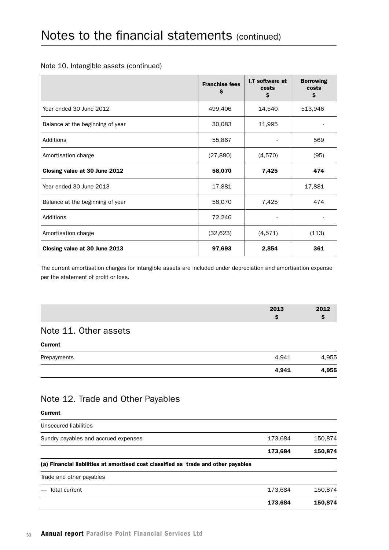|  |  |  | Note 10. Intangible assets (continued) |
|--|--|--|----------------------------------------|
|--|--|--|----------------------------------------|

|                                  | <b>Franchise fees</b><br>Ŝ | I.T software at<br>costs<br>\$ | <b>Borrowing</b><br>costs<br>\$ |
|----------------------------------|----------------------------|--------------------------------|---------------------------------|
| Year ended 30 June 2012          | 499,406                    | 14,540                         | 513,946                         |
| Balance at the beginning of year | 30,083                     | 11,995                         |                                 |
| Additions                        | 55,867                     |                                | 569                             |
| Amortisation charge              | (27, 880)                  | (4,570)                        | (95)                            |
| Closing value at 30 June 2012    | 58,070                     | 7,425                          | 474                             |
| Year ended 30 June 2013          | 17,881                     |                                | 17,881                          |
| Balance at the beginning of year | 58,070                     | 7,425                          | 474                             |
| Additions                        | 72,246                     |                                |                                 |
| Amortisation charge              | (32, 623)                  | (4,571)                        | (113)                           |
| Closing value at 30 June 2013    | 97,693                     | 2,854                          | 361                             |

The current amortisation charges for intangible assets are included under depreciation and amortisation expense per the statement of profit or loss.

|                       | 4,941      | 4,955     |
|-----------------------|------------|-----------|
| Prepayments           | 4,941      | 4,955     |
| <b>Current</b>        |            |           |
| Note 11. Other assets |            |           |
|                       | 2013<br>\$ | 2012<br>Ş |
|                       |            |           |

## Note 12. Trade and Other Payables

Current

| Unsecured liabilities                                                              |         |         |
|------------------------------------------------------------------------------------|---------|---------|
| Sundry payables and accrued expenses                                               | 173,684 | 150,874 |
|                                                                                    | 173,684 | 150,874 |
| (a) Financial liabilities at amortised cost classified as trade and other payables |         |         |
| Trade and other payables                                                           |         |         |
| Total current                                                                      | 173,684 | 150,874 |
|                                                                                    | 173,684 | 150.874 |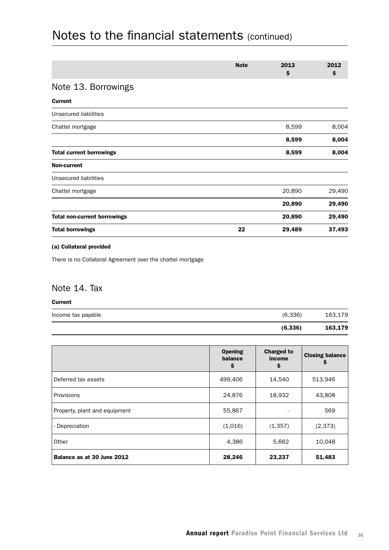|                                     | <b>Note</b> | 2013<br>\$ | 2012<br>\$ |
|-------------------------------------|-------------|------------|------------|
| Note 13. Borrowings                 |             |            |            |
| <b>Current</b>                      |             |            |            |
| <b>Unsecured liabilities</b>        |             |            |            |
| Chattel mortgage                    |             | 8,599      | 8,004      |
|                                     |             | 8,599      | 8,004      |
| <b>Total current borrowings</b>     |             | 8,599      | 8,004      |
| <b>Non-current</b>                  |             |            |            |
| Unsecured liabilities               |             |            |            |
| Chattel mortgage                    |             | 20,890     | 29,490     |
|                                     |             | 20,890     | 29,490     |
| <b>Total non-current borrowings</b> |             | 20,890     | 29,490     |
| <b>Total borrowings</b>             | 22          | 29,489     | 37,493     |

#### (a) Collateral provided

There is no Collateral Agreement over the chattel mortgage

## Note 14. Tax

#### Current

| Income tax payable | (6,336) | 163,179 |
|--------------------|---------|---------|

|                               | <b>Opening</b><br>balance<br>\$ | <b>Charged to</b><br>income<br>s | <b>Closing balance</b><br>s |
|-------------------------------|---------------------------------|----------------------------------|-----------------------------|
| Deferred tax assets           | 499,406                         | 14,540                           | 513,946                     |
| Provisions                    | 24,876                          | 18,932                           | 43,808                      |
| Property, plant and equipment | 55,867                          | $\overline{\phantom{a}}$         | 569                         |
| - Depreciation                | (1,016)                         | (1,357)                          | (2,373)                     |
| Other                         | 4,386                           | 5,662                            | 10,048                      |
| Balance as at 30 June 2012    | 28,246                          | 23,237                           | 51,483                      |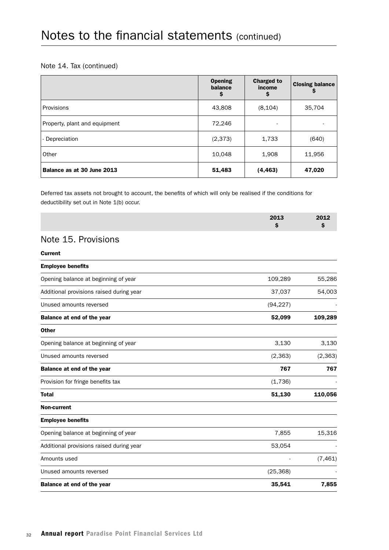#### Note 14. Tax (continued)

|                               | <b>Opening</b><br>balance<br>Ş | <b>Charged to</b><br>income<br>Ş | <b>Closing balance</b> |
|-------------------------------|--------------------------------|----------------------------------|------------------------|
| Provisions                    | 43,808                         | (8, 104)                         | 35,704                 |
| Property, plant and equipment | 72,246                         | ٠                                |                        |
| - Depreciation                | (2,373)                        | 1,733                            | (640)                  |
| Other                         | 10,048                         | 1,908                            | 11,956                 |
| Balance as at 30 June 2013    | 51,483                         | (4, 463)                         | 47,020                 |

Deferred tax assets not brought to account, the benefits of which will only be realised if the conditions for deductibility set out in Note 1(b) occur.

|                                          | 2013<br>Ś | 2012<br>\$ |
|------------------------------------------|-----------|------------|
| Note 15. Provisions                      |           |            |
| <b>Current</b>                           |           |            |
| <b>Employee benefits</b>                 |           |            |
| Opening balance at beginning of year     | 109,289   | 55,286     |
| Additional provisions raised during year | 37,037    | 54,003     |
| Unused amounts reversed                  | (94, 227) |            |
| Balance at end of the year               | 52,099    | 109,289    |
| <b>Other</b>                             |           |            |
| Opening balance at beginning of year     | 3,130     | 3,130      |
| Unused amounts reversed                  | (2, 363)  | (2, 363)   |
| Balance at end of the year               | 767       | 767        |
| Provision for fringe benefits tax        | (1,736)   |            |
| <b>Total</b>                             | 51,130    | 110,056    |
| <b>Non-current</b>                       |           |            |
| <b>Employee benefits</b>                 |           |            |
| Opening balance at beginning of year     | 7,855     | 15,316     |
| Additional provisions raised during year | 53,054    |            |
| Amounts used                             |           | (7, 461)   |
| Unused amounts reversed                  | (25, 368) |            |
| Balance at end of the year               | 35,541    | 7,855      |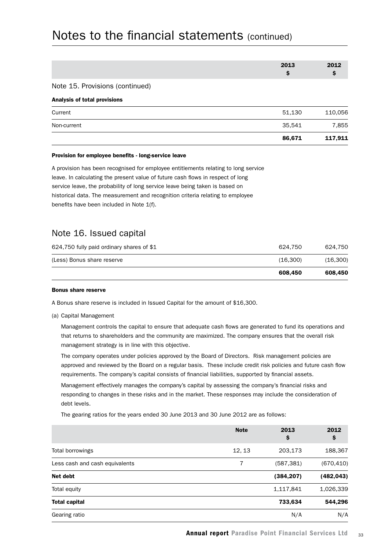| Non-current                     | 35,541     | 7,855     |
|---------------------------------|------------|-----------|
| Current                         | 51,130     | 110,056   |
| Analysis of total provisions    |            |           |
| Note 15. Provisions (continued) |            |           |
|                                 | 2013<br>\$ | 2012<br>Ş |

#### Provision for employee benefits - long-service leave

A provision has been recognised for employee entitlements relating to long service leave. In calculating the present value of future cash flows in respect of long service leave, the probability of long service leave being taken is based on historical data. The measurement and recognition criteria relating to employee benefits have been included in Note 1(f).

### Note 16. Issued capital

|                                           | 608.450  | 608.450  |
|-------------------------------------------|----------|----------|
| (Less) Bonus share reserve                | (16,300) | (16,300) |
| 624,750 fully paid ordinary shares of \$1 | 624.750  | 624.750  |

#### Bonus share reserve

A Bonus share reserve is included in Issued Capital for the amount of \$16,300.

(a) Capital Management

Management controls the capital to ensure that adequate cash flows are generated to fund its operations and that returns to shareholders and the community are maximized. The company ensures that the overall risk management strategy is in line with this objective.

The company operates under policies approved by the Board of Directors. Risk management policies are approved and reviewed by the Board on a regular basis. These include credit risk policies and future cash flow requirements. The company's capital consists of financial liabilities, supported by financial assets.

Management effectively manages the company's capital by assessing the company's financial risks and responding to changes in these risks and in the market. These responses may include the consideration of debt levels.

The gearing ratios for the years ended 30 June 2013 and 30 June 2012 are as follows:

|                                | <b>Note</b> | 2013<br>\$ | 2012<br>Ş  |
|--------------------------------|-------------|------------|------------|
| Total borrowings               | 12, 13      | 203,173    | 188,367    |
| Less cash and cash equivalents | 7           | (587, 381) | (670, 410) |
| Net debt                       |             | (384,207)  | (482, 043) |
| Total equity                   |             | 1,117,841  | 1,026,339  |
| <b>Total capital</b>           |             | 733,634    | 544,296    |
| Gearing ratio                  |             | N/A        | N/A        |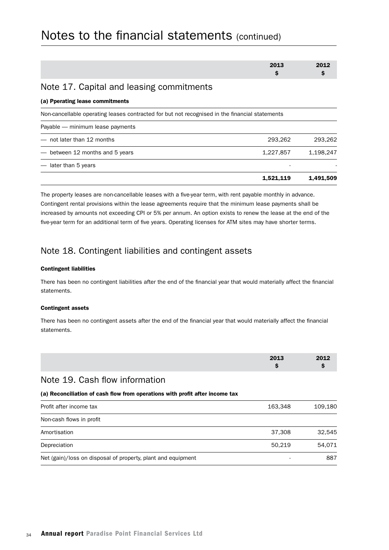| 2013 | 2012 |
|------|------|
|      |      |
|      |      |

### Note 17. Capital and leasing commitments

#### (a) Pperating lease commitments

Non-cancellable operating leases contracted for but not recognised in the financial statements

|                                  | 1.521.119 | 1,491,509 |
|----------------------------------|-----------|-----------|
| - later than 5 years             |           |           |
| - between 12 months and 5 years  | 1,227,857 | 1.198.247 |
| - not later than 12 months       | 293.262   | 293.262   |
| Payable - minimum lease payments |           |           |

The property leases are non-cancellable leases with a five-year term, with rent payable monthly in advance. Contingent rental provisions within the lease agreements require that the minimum lease payments shall be increased by amounts not exceeding CPI or 5% per annum. An option exists to renew the lease at the end of the five-year term for an additional term of five years. Operating licenses for ATM sites may have shorter terms.

## Note 18. Contingent liabilities and contingent assets

#### Contingent liabilities

There has been no contingent liabilities after the end of the financial year that would materially affect the financial statements.

#### Contingent assets

There has been no contingent assets after the end of the financial year that would materially affect the financial statements.

| 2013 | 2012 |
|------|------|
|      |      |

### Note 19. Cash flow information

#### (a) Reconciliation of cash flow from operations with profit after income tax

| Profit after income tax                                      | 163,348 | 109.180 |
|--------------------------------------------------------------|---------|---------|
| Non-cash flows in profit                                     |         |         |
| Amortisation                                                 | 37,308  | 32,545  |
| Depreciation                                                 | 50.219  | 54.071  |
| Net (gain)/loss on disposal of property, plant and equipment |         | 887     |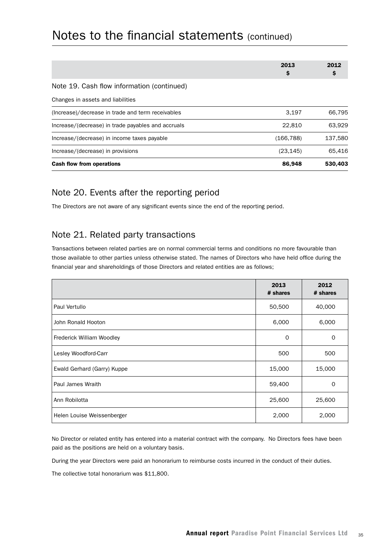|                                                    | 2013<br>\$ | 2012<br>Ş |
|----------------------------------------------------|------------|-----------|
| Note 19. Cash flow information (continued)         |            |           |
| Changes in assets and liabilities                  |            |           |
| (Increase)/decrease in trade and term receivables  | 3,197      | 66,795    |
| Increase/(decrease) in trade payables and accruals | 22,810     | 63.929    |
| Increase/(decrease) in income taxes payable        | (166, 788) | 137,580   |
| Increase/(decrease) in provisions                  | (23, 145)  | 65.416    |
| <b>Cash flow from operations</b>                   | 86,948     | 530,403   |

### Note 20. Events after the reporting period

The Directors are not aware of any significant events since the end of the reporting period.

## Note 21. Related party transactions

Transactions between related parties are on normal commercial terms and conditions no more favourable than those available to other parties unless otherwise stated. The names of Directors who have held office during the financial year and shareholdings of those Directors and related entities are as follows;

|                             | 2013<br># shares | 2012<br># shares |
|-----------------------------|------------------|------------------|
| Paul Vertullo               | 50,500           | 40,000           |
| John Ronald Hooton          | 6,000            | 6,000            |
| Frederick William Woodley   | $\mathbf 0$      | $\Omega$         |
| Lesley Woodford-Carr        | 500              | 500              |
| Ewald Gerhard (Garry) Kuppe | 15,000           | 15,000           |
| Paul James Wraith           | 59,400           | $\Omega$         |
| Ann Robilotta               | 25,600           | 25,600           |
| Helen Louise Weissenberger  | 2,000            | 2,000            |

No Director or related entity has entered into a material contract with the company. No Directors fees have been paid as the positions are held on a voluntary basis.

During the year Directors were paid an honorarium to reimburse costs incurred in the conduct of their duties.

The collective total honorarium was \$11,800.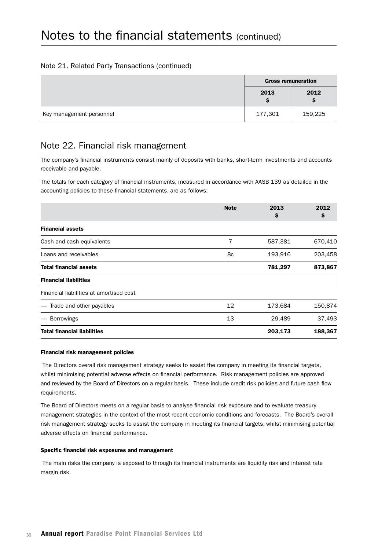#### Note 21. Related Party Transactions (continued)

|                          | <b>Gross remuneration</b> |         |  |
|--------------------------|---------------------------|---------|--|
|                          | 2013                      | 2012    |  |
| Key management personnel | 177,301                   | 159,225 |  |

### Note 22. Financial risk management

The company's financial instruments consist mainly of deposits with banks, short-term investments and accounts receivable and payable.

The totals for each category of financial instruments, measured in accordance with AASB 139 as detailed in the accounting policies to these financial statements, are as follows:

|                                         | <b>Note</b> | 2013<br>\$ | 2012<br>Ş |
|-----------------------------------------|-------------|------------|-----------|
| <b>Financial assets</b>                 |             |            |           |
| Cash and cash equivalents               | 7           | 587,381    | 670,410   |
| Loans and receivables                   | 8c          | 193,916    | 203,458   |
| <b>Total financial assets</b>           |             | 781,297    | 873,867   |
| <b>Financial liabilities</b>            |             |            |           |
| Financial liabilities at amortised cost |             |            |           |
| - Trade and other payables              | 12          | 173,684    | 150,874   |
| <b>Borrowings</b>                       | 13          | 29,489     | 37,493    |
| <b>Total financial liabilities</b>      |             | 203,173    | 188,367   |

#### Financial risk management policies

 The Directors overall risk management strategy seeks to assist the company in meeting its financial targets, whilst minimising potential adverse effects on financial performance. Risk management policies are approved and reviewed by the Board of Directors on a regular basis. These include credit risk policies and future cash flow requirements.

The Board of Directors meets on a regular basis to analyse financial risk exposure and to evaluate treasury management strategies in the context of the most recent economic conditions and forecasts. The Board's overall risk management strategy seeks to assist the company in meeting its financial targets, whilst minimising potential adverse effects on financial performance.

#### Specific financial risk exposures and management

 The main risks the company is exposed to through its financial instruments are liquidity risk and interest rate margin risk.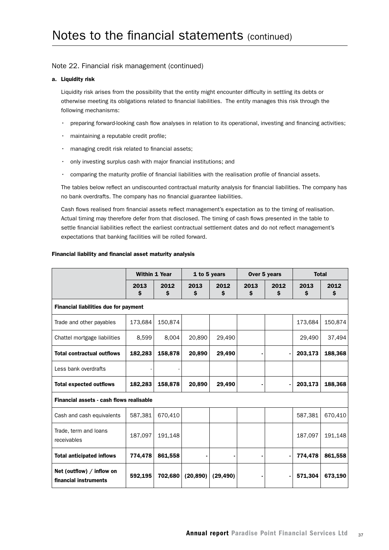#### Note 22. Financial risk management (continued)

#### a. Liquidity risk

Liquidity risk arises from the possibility that the entity might encounter difficulty in settling its debts or otherwise meeting its obligations related to financial liabilities. The entity manages this risk through the following mechanisms:

- preparing forward-looking cash flow analyses in relation to its operational, investing and financing activities;
- maintaining a reputable credit profile;
- managing credit risk related to financial assets;
- only investing surplus cash with major financial institutions; and
- comparing the maturity profile of financial liabilities with the realisation profile of financial assets.

The tables below reflect an undiscounted contractual maturity analysis for financial liabilities. The company has no bank overdrafts. The company has no financial guarantee liabilities.

Cash flows realised from financial assets reflect management's expectation as to the timing of realisation. Actual timing may therefore defer from that disclosed. The timing of cash flows presented in the table to settle financial liabilities reflect the earliest contractual settlement dates and do not reflect management's expectations that banking facilities will be rolled forward.

|                                                      | <b>Within 1 Year</b> |            | 1 to 5 years |            | Over 5 years         |                      | <b>Total</b> |                      |  |
|------------------------------------------------------|----------------------|------------|--------------|------------|----------------------|----------------------|--------------|----------------------|--|
|                                                      | 2013<br>\$           | 2012<br>\$ | 2013<br>\$   | 2012<br>\$ | 2013<br>$\mathsf{s}$ | 2012<br>$\mathsf{s}$ | 2013<br>\$   | 2012<br>$\mathsf{s}$ |  |
| <b>Financial liabilities due for payment</b>         |                      |            |              |            |                      |                      |              |                      |  |
| Trade and other payables                             | 173.684              | 150,874    |              |            |                      |                      | 173,684      | 150,874              |  |
| Chattel mortgage liabilities                         | 8,599                | 8,004      | 20,890       | 29,490     |                      |                      | 29,490       | 37,494               |  |
| <b>Total contractual outflows</b>                    | 182,283              | 158,878    | 20,890       | 29,490     |                      |                      | 203,173      | 188,368              |  |
| Less bank overdrafts                                 |                      |            |              |            |                      |                      |              |                      |  |
| <b>Total expected outflows</b>                       | 182,283              | 158,878    | 20,890       | 29,490     |                      |                      | 203,173      | 188,368              |  |
| Financial assets - cash flows realisable             |                      |            |              |            |                      |                      |              |                      |  |
| Cash and cash equivalents                            | 587,381              | 670,410    |              |            |                      |                      | 587,381      | 670,410              |  |
| Trade, term and loans<br>receivables                 | 187,097              | 191,148    |              |            |                      |                      | 187,097      | 191,148              |  |
| <b>Total anticipated inflows</b>                     | 774,478              | 861,558    |              |            |                      |                      | 774,478      | 861,558              |  |
| Net (outflow) $/$ inflow on<br>financial instruments | 592,195              | 702,680    | (20, 890)    | (29, 490)  |                      |                      | 571,304      | 673,190              |  |

#### Financial liability and financial asset maturity analysis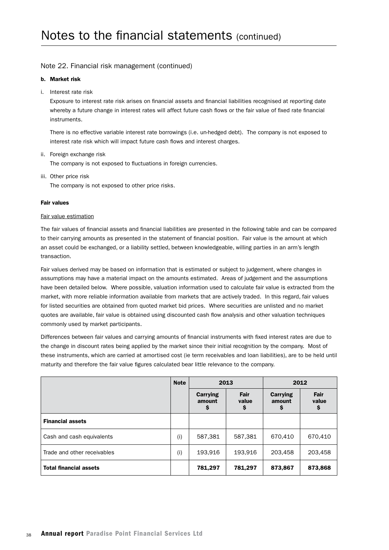#### Note 22. Financial risk management (continued)

#### b. Market risk

i. Interest rate risk

Exposure to interest rate risk arises on financial assets and financial liabilities recognised at reporting date whereby a future change in interest rates will affect future cash flows or the fair value of fixed rate financial instruments.

There is no effective variable interest rate borrowings (i.e. un-hedged debt). The company is not exposed to interest rate risk which will impact future cash flows and interest charges.

#### ii. Foreign exchange risk

The company is not exposed to fluctuations in foreign currencies.

iii. Other price risk

The company is not exposed to other price risks.

#### Fair values

#### Fair value estimation

The fair values of financial assets and financial liabilities are presented in the following table and can be compared to their carrying amounts as presented in the statement of financial position. Fair value is the amount at which an asset could be exchanged, or a liability settled, between knowledgeable, willing parties in an arm's length transaction.

Fair values derived may be based on information that is estimated or subject to judgement, where changes in assumptions may have a material impact on the amounts estimated. Areas of judgement and the assumptions have been detailed below. Where possible, valuation information used to calculate fair value is extracted from the market, with more reliable information available from markets that are actively traded. In this regard, fair values for listed securities are obtained from quoted market bid prices. Where securities are unlisted and no market quotes are available, fair value is obtained using discounted cash flow analysis and other valuation techniques commonly used by market participants.

Differences between fair values and carrying amounts of financial instruments with fixed interest rates are due to the change in discount rates being applied by the market since their initial recognition by the company. Most of these instruments, which are carried at amortised cost (ie term receivables and loan liabilities), are to be held until maturity and therefore the fair value figures calculated bear little relevance to the company.

|                               | <b>Note</b> | 2013                     |                     | 2012                     |                     |
|-------------------------------|-------------|--------------------------|---------------------|--------------------------|---------------------|
|                               |             | Carrying<br>amount<br>\$ | Fair<br>value<br>\$ | Carrying<br>amount<br>\$ | Fair<br>value<br>\$ |
| <b>Financial assets</b>       |             |                          |                     |                          |                     |
| Cash and cash equivalents     | (i)         | 587,381                  | 587,381             | 670,410                  | 670,410             |
| Trade and other receivables   | (i)         | 193,916                  | 193,916             | 203,458                  | 203,458             |
| <b>Total financial assets</b> |             | 781,297                  | 781,297             | 873,867                  | 873,868             |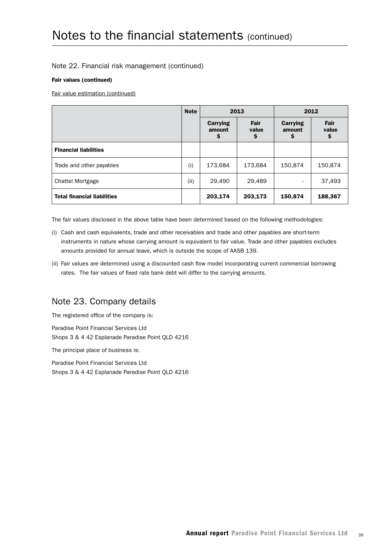#### Note 22. Financial risk management (continued)

#### Fair values (continued)

Fair value estimation (continued)

|                                    | <b>Note</b> | 2013                     |                     | 2012                     |                     |
|------------------------------------|-------------|--------------------------|---------------------|--------------------------|---------------------|
|                                    |             | Carrying<br>amount<br>\$ | Fair<br>value<br>\$ | Carrying<br>amount<br>\$ | Fair<br>value<br>\$ |
| <b>Financial liabilities</b>       |             |                          |                     |                          |                     |
| Trade and other payables           | (i)         | 173,684                  | 173.684             | 150,874                  | 150,874             |
| <b>Chattel Mortgage</b>            | (ii)        | 29,490                   | 29,489              |                          | 37,493              |
| <b>Total financial liabilities</b> |             | 203,174                  | 203,173             | 150,874                  | 188,367             |

The fair values disclosed in the above table have been determined based on the following methodologies:

- (i) Cash and cash equivalents, trade and other receivables and trade and other payables are short-term instruments in nature whose carrying amount is equivalent to fair value. Trade and other payables excludes amounts provided for annual leave, which is outside the scope of AASB 139.
- (ii) Fair values are determined using a discounted cash flow model incorporating current commercial borrowing rates. The fair values of fixed rate bank debt will differ to the carrying amounts.

## Note 23. Company details

The registered office of the company is:

Paradise Point Financial Services Ltd Shops 3 & 4 42 Esplanade Paradise Point QLD 4216 The principal place of business is:

Paradise Point Financial Services Ltd Shops 3 & 4 42 Esplanade Paradise Point QLD 4216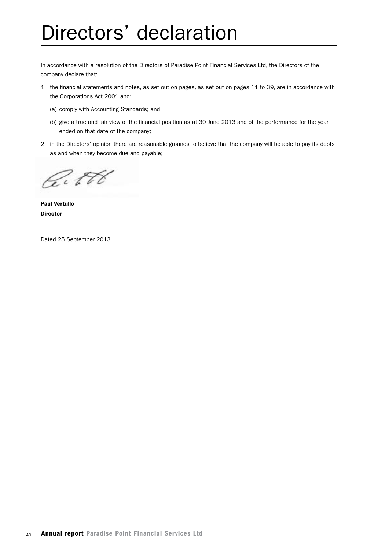# Directors' declaration

In accordance with a resolution of the Directors of Paradise Point Financial Services Ltd, the Directors of the company declare that:

- 1. the financial statements and notes, as set out on pages, as set out on pages 11 to 39, are in accordance with the Corporations Act 2001 and:
	- (a) comply with Accounting Standards; and
	- (b) give a true and fair view of the financial position as at 30 June 2013 and of the performance for the year ended on that date of the company;
- 2. in the Directors' opinion there are reasonable grounds to believe that the company will be able to pay its debts as and when they become due and payable;

Q. tH

Paul Vertullo Director

Dated 25 September 2013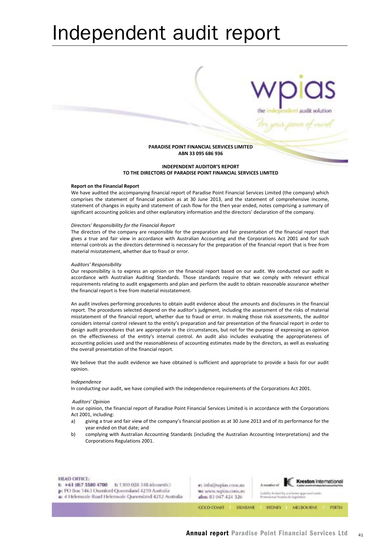# Independent audit report



solutilos tibus Imple

beaco of m

#### PARADISE POINT FINANCIAL SERVICES LIMITED ABN 33 095 686 936

#### **INDEPENDENT AUDITOR'S REPORT** TO THE DIRECTORS OF PARADISE POINT FINANCIAL SERVICES LIMITED

#### **Report on the Financial Report**

We have audited the accompanying financial report of Paradise Point Financial Services Limited (the company) which comprises the statement of financial position as at 30 June 2013, and the statement of comprehensive income, statement of changes in equity and statement of cash flow for the then year ended, notes comprising a summary of significant accounting policies and other explanatory information and the directors' declaration of the company.

#### Directors' Responsibility for the Financial Report

The directors of the company are responsible for the preparation and fair presentation of the financial report that gives a true and fair view in accordance with Australian Accounting and the Corporations Act 2001 and for such internal controls as the directors determined is necessary for the preparation of the financial report that is free from material misstatement, whether due to fraud or error.

#### **Auditors' Responsibility**

Our responsibility is to express an opinion on the financial report based on our audit. We conducted our audit in accordance with Australian Auditing Standards. Those standards require that we comply with relevant ethical requirements relating to audit engagements and plan and perform the audit to obtain reasonable assurance whether the financial report is free from material misstatement.

An audit involves performing procedures to obtain audit evidence about the amounts and disclosures in the financial report. The procedures selected depend on the auditor's judgment, including the assessment of the risks of material misstatement of the financial report, whether due to fraud or error. In making those risk assessments, the auditor considers internal control relevant to the entity's preparation and fair presentation of the financial report in order to design audit procedures that are appropriate in the circumstances, but not for the purpose of expressing an opinion on the effectiveness of the entity's internal control. An audit also includes evaluating the appropriateness of accounting policies used and the reasonableness of accounting estimates made by the directors, as well as evaluating the overall presentation of the financial report.

We believe that the audit evidence we have obtained is sufficient and appropriate to provide a basis for our audit opinion.

#### Independence

In conducting our audit, we have complied with the independence requirements of the Corporations Act 2001.

#### **Auditors' Opinion**

In our opinion, the financial report of Paradise Point Financial Services Limited is in accordance with the Corporations Act 2001, including:

- a) giving a true and fair view of the company's financial position as at 30 June 2013 and of its performance for the year ended on that date: and
- b) complying with Australian Accounting Standards (including the Australian Accounting Interpretations) and the Corporations Regulations 2001.

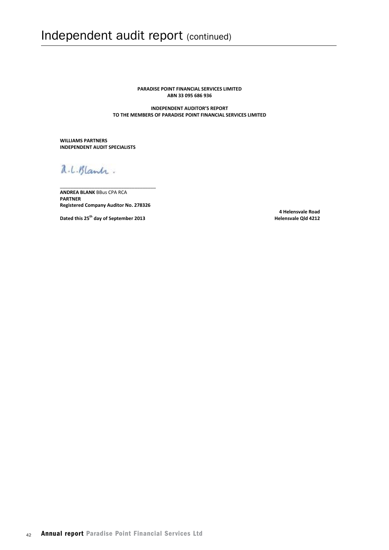PARADISE POINT FINANCIAL SERVICES LIMITED ABN 33 095 686 936

**INDEPENDENT AUDITOR'S REPORT** TO THE MEMBERS OF PARADISE POINT FINANCIAL SERVICES LIMITED

**WILLIAMS PARTNERS INDEPENDENT AUDIT SPECIALISTS** 

a.L.Blank.

 **ANDREA BLANK** BBus CPA RCA **PARTNER** Registered Company Auditor No. 278326

Dated this 25<sup>th</sup> day of September 2013

4 Helensvale Road<br>Helensvale Qld 4212